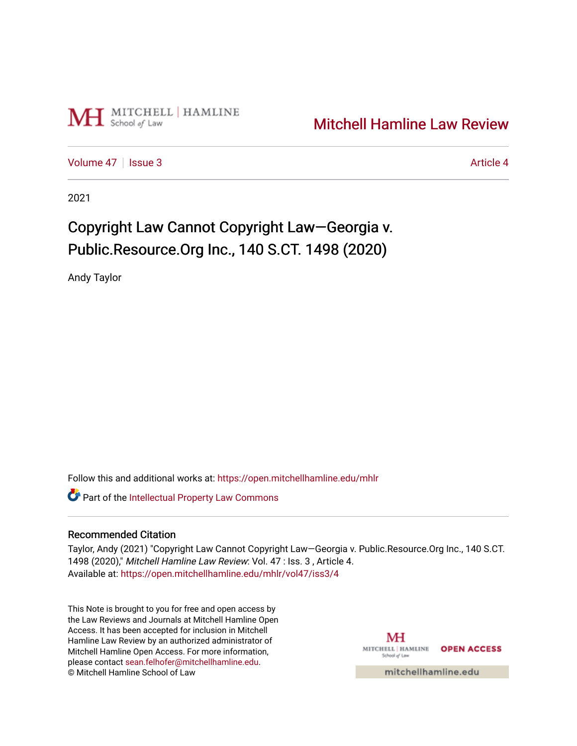

# [Mitchell Hamline Law Review](https://open.mitchellhamline.edu/mhlr)

[Volume 47](https://open.mitchellhamline.edu/mhlr/vol47) | [Issue 3](https://open.mitchellhamline.edu/mhlr/vol47/iss3) Article 4

2021

# Copyright Law Cannot Copyright Law—Georgia v. Public.Resource.Org Inc., 140 S.CT. 1498 (2020)

Andy Taylor

Follow this and additional works at: [https://open.mitchellhamline.edu/mhlr](https://open.mitchellhamline.edu/mhlr?utm_source=open.mitchellhamline.edu%2Fmhlr%2Fvol47%2Fiss3%2F4&utm_medium=PDF&utm_campaign=PDFCoverPages) 

**Part of the Intellectual Property Law Commons** 

# Recommended Citation

Taylor, Andy (2021) "Copyright Law Cannot Copyright Law—Georgia v. Public.Resource.Org Inc., 140 S.CT. 1498 (2020)," Mitchell Hamline Law Review: Vol. 47 : Iss. 3 , Article 4. Available at: [https://open.mitchellhamline.edu/mhlr/vol47/iss3/4](https://open.mitchellhamline.edu/mhlr/vol47/iss3/4?utm_source=open.mitchellhamline.edu%2Fmhlr%2Fvol47%2Fiss3%2F4&utm_medium=PDF&utm_campaign=PDFCoverPages) 

This Note is brought to you for free and open access by the Law Reviews and Journals at Mitchell Hamline Open Access. It has been accepted for inclusion in Mitchell Hamline Law Review by an authorized administrator of Mitchell Hamline Open Access. For more information, please contact [sean.felhofer@mitchellhamline.edu.](mailto:sean.felhofer@mitchellhamline.edu) © Mitchell Hamline School of Law

MH MITCHELL | HAMLINE **OPEN ACCESS** School of La

mitchellhamline.edu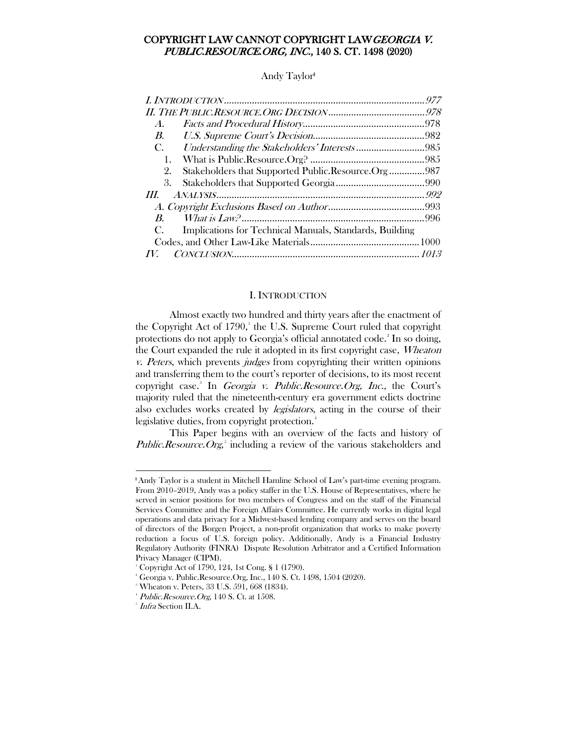# COPYRIGHT LAW CANNOT COPYRIGHT LAWGEORGIA V. PUBLIC.RESOURCE.ORG, INC., 140 S. CT. 1498 (2020)

#### Andy Taylor<sup>ǂ</sup>

| $\boldsymbol{A}$ .                                            |  |
|---------------------------------------------------------------|--|
| <i>B.</i>                                                     |  |
| C.                                                            |  |
| 1.                                                            |  |
| Stakeholders that Supported Public.Resource.Org987<br>2.      |  |
| 3.                                                            |  |
| III                                                           |  |
|                                                               |  |
| $R_{\cdot}$                                                   |  |
| Implications for Technical Manuals, Standards, Building<br>C. |  |
|                                                               |  |
|                                                               |  |

#### I. INTRODUCTION

<span id="page-1-0"></span>Almost exactly two hundred and thirty years after the enactment of the Copyright Act of [1](#page-1-1)790,<sup>1</sup> the U.S. Supreme Court ruled that copyright protections do not apply to Georgia's official annotated code.<sup>[2](#page-1-2)</sup> In so doing, the Court expanded the rule it adopted in its first copyright case, Wheaton v. Peters, which prevents judges from copyrighting their written opinions and transferring them to the court's reporter of decisions, to its most recent copyright case.<sup>[3](#page-1-3)</sup> In *Georgia v. Public.Resource.Org, Inc.*, the Court's majority ruled that the nineteenth-century era government edicts doctrine also excludes works created by legislators, acting in the course of their legislative duties, from copyright protection.<sup>[4](#page-1-4)</sup>

This Paper begins with an overview of the facts and history of *Public.Resource.Org*,<sup>[5](#page-1-5)</sup> including a review of the various stakeholders and

 $\overline{\phantom{a}}$ 

<span id="page-1-1"></span><sup>ǂ</sup>Andy Taylor is a student in Mitchell Hamline School of Law's part-time evening program. From 2010–2019, Andy was a policy staffer in the U.S. House of Representatives, where he served in senior positions for two members of Congress and on the staff of the Financial Services Committee and the Foreign Affairs Committee. He currently works in digital legal operations and data privacy for a Midwest-based lending company and serves on the board of directors of the Borgen Project, a non-profit organization that works to make poverty reduction a focus of U.S. foreign policy. Additionally, Andy is a Financial Industry Regulatory Authority (FINRA) Dispute Resolution Arbitrator and a Certified Information Privacy Manager (CIPM).

<span id="page-1-2"></span><sup>1</sup> Copyright Act of 1790, 124, 1st Cong. § 1 (1790).

<sup>2</sup> Georgia v. Public.Resource.Org, Inc., 140 S. Ct. 1498, 1504 (2020).

<sup>3</sup> Wheaton v. Peters, 33 U.S. 591, 668 (1834).

<span id="page-1-5"></span><span id="page-1-4"></span><span id="page-1-3"></span> $^4$  *Public.Resource.Org*, 140 S. Ct. at 1508.

<sup>5</sup> Infra Section II.A.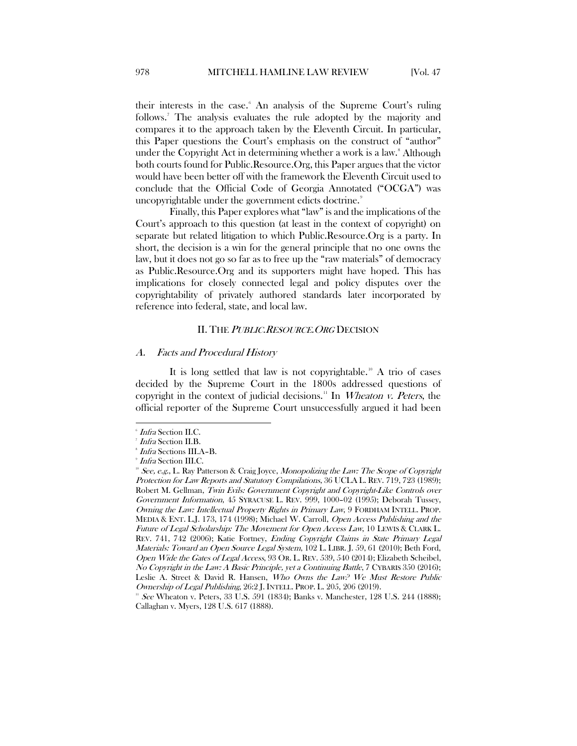their interests in the case.<sup>[6](#page-2-2)</sup> An analysis of the Supreme Court's ruling follows.<sup>[7](#page-2-3)</sup> The analysis evaluates the rule adopted by the majority and compares it to the approach taken by the Eleventh Circuit. In particular, this Paper questions the Court's emphasis on the construct of "author" under the Copyright Act in determining whether a work is a law.<sup>8</sup> Although both courts found for Public.Resource.Org, this Paper argues that the victor would have been better off with the framework the Eleventh Circuit used to conclude that the Official Code of Georgia Annotated ("OCGA") was uncopyrightable under the government edicts doctrine.<sup>[9](#page-2-5)</sup>

Finally, this Paper explores what "law" is and the implications of the Court's approach to this question (at least in the context of copyright) on separate but related litigation to which Public.Resource.Org is a party. In short, the decision is a win for the general principle that no one owns the law, but it does not go so far as to free up the "raw materials" of democracy as Public.Resource.Org and its supporters might have hoped. This has implications for closely connected legal and policy disputes over the copyrightability of privately authored standards later incorporated by reference into federal, state, and local law.

#### II. THE PUBLIC.RESOURCE. ORG DECISION

#### <span id="page-2-1"></span><span id="page-2-0"></span>A. Facts and Procedural History

It is long settled that law is not copyrightable.<sup>[10](#page-2-6)</sup> A trio of cases decided by the Supreme Court in the 1800s addressed questions of copyright in the context of judicial decisions.<sup>[11](#page-2-7)</sup> In *Wheaton v. Peters*, the official reporter of the Supreme Court unsuccessfully argued it had been

 $\overline{\phantom{a}}$ 

<span id="page-2-2"></span><sup>6</sup> Infra Section II.C.

<span id="page-2-4"></span><span id="page-2-3"></span><sup>7</sup> Infra Section II.B.

<sup>8</sup> Infra Sections III.A–B.

<sup>9</sup> Infra Section III.C.

<span id="page-2-6"></span><span id="page-2-5"></span> $10^9$  See, e.g., L. Ray Patterson & Craig Joyce, Monopolizing the Law: The Scope of Copyright Protection for Law Reports and Statutory Compilations, 36 UCLA L. REV. 719, 723 (1989); Robert M. Gellman, Twin Evils: Government Copyright and Copyright-Like Controls over Government Information, 45 SYRACUSE L. REV. 999, 1000–02 (1995); Deborah Tussey, Owning the Law: Intellectual Property Rights in Primary Law, 9 FORDHAM INTELL. PROP. MEDIA & ENT. L.J. 173, 174 (1998); Michael W. Carroll, Open Access Publishing and the Future of Legal Scholarship: The Movement for Open Access Law, 10 LEWIS & CLARK L. REV. 741, 742 (2006); Katie Fortney, Ending Copyright Claims in State Primary Legal Materials: Toward an Open Source Legal System, 102 L. LIBR. J. 59, 61 (2010); Beth Ford, Open Wide the Gates of Legal Access, 93 OR. L. REV. 539, 540 (2014); Elizabeth Scheibel, No Copyright in the Law: A Basic Principle, yet a Continuing Battle, 7 CYBARIS 350 (2016); Leslie A. Street & David R. Hansen, Who Owns the Law? We Must Restore Public Ownership of Legal Publishing, 26:2 J. INTELL. PROP. L. 205, 206 (2019).

<span id="page-2-7"></span> $11^{11}$  See Wheaton v. Peters, 33 U.S. 591 (1834); Banks v. Manchester, 128 U.S. 244 (1888); Callaghan v. Myers, 128 U.S. 617 (1888).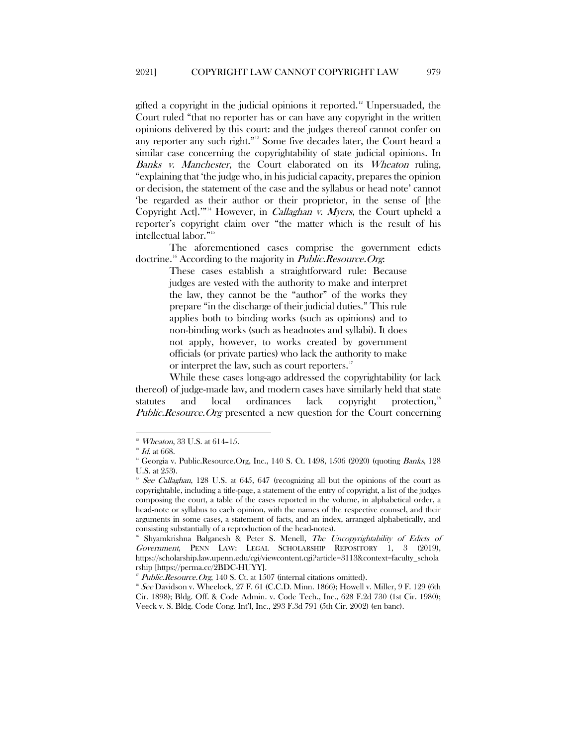gifted a copyright in the judicial opinions it reported.<sup>12</sup> Unpersuaded, the Court ruled "that no reporter has or can have any copyright in the written opinions delivered by this court: and the judges thereof cannot confer on any reporter any such right."[13](#page-3-1) Some five decades later, the Court heard a similar case concerning the copyrightability of state judicial opinions. In Banks v. Manchester, the Court elaborated on its Wheaton ruling, "explaining that 'the judge who, in his judicial capacity, prepares the opinion or decision, the statement of the case and the syllabus or head note' cannot 'be regarded as their author or their proprietor, in the sense of [the Copyright Act]."<sup>[14](#page-3-2)</sup> However, in *Callaghan v. Myers*, the Court upheld a reporter's copyright claim over "the matter which is the result of his intellectual labor."[15](#page-3-3)

The aforementioned cases comprise the government edicts doctrine.<sup>[16](#page-3-4)</sup> According to the majority in *Public.Resource.Org*:

> These cases establish a straightforward rule: Because judges are vested with the authority to make and interpret the law, they cannot be the "author" of the works they prepare "in the discharge of their judicial duties." This rule applies both to binding works (such as opinions) and to non-binding works (such as headnotes and syllabi). It does not apply, however, to works created by government officials (or private parties) who lack the authority to make or interpret the law, such as court reporters.<sup>[17](#page-3-5)</sup>

While these cases long-ago addressed the copyrightability (or lack thereof) of judge-made law, and modern cases have similarly held that state statutes and local ordinances lack copyright protection,<sup>[18](#page-3-6)</sup> Public.Resource.Org presented a new question for the Court concerning

<sup>&</sup>lt;sup>12</sup> *Wheaton*, 33 U.S. at 614-15.

<span id="page-3-2"></span><span id="page-3-1"></span><span id="page-3-0"></span> $^{13}$   $\emph{Id.}$ at 668. 140<br/>ic.Resource.Org, Inc., 140 S. Ct. 1498, 1506 (2020) (quoting Banks, 128<br/>  $^{14}$  Georgia v. Public.Resource.Org, Inc., 140 S. Ct. 1498, 1506 (2020) (quoting Banks, 128 U.S. at 253).

<span id="page-3-3"></span><sup>&</sup>lt;sup>15</sup> See Callaghan, 128 U.S. at 645, 647 (recognizing all but the opinions of the court as copyrightable, including a title-page, a statement of the entry of copyright, a list of the judges composing the court, a table of the cases reported in the volume, in alphabetical order, a head-note or syllabus to each opinion, with the names of the respective counsel, and their arguments in some cases, a statement of facts, and an index, arranged alphabetically, and consisting substantially of a reproduction of the head-notes).

<span id="page-3-4"></span><sup>16</sup> Shyamkrishna Balganesh & Peter S. Menell, The Uncopyrightability of Edicts of Government, PENN LAW: LEGAL SCHOLARSHIP REPOSITORY 1, 3 (2019), https://scholarship.law.upenn.edu/cgi/viewcontent.cgi?article=3113&context=faculty\_schola rship [https://perma.cc/2BDC-HUYY].

Public.Resource.Org, 140 S. Ct. at 1507 (internal citations omitted).

<span id="page-3-6"></span><span id="page-3-5"></span> $18$  See Davidson v. Wheelock, 27 F. 61 (C.C.D. Minn. 1866); Howell v. Miller, 9 F. 129 (6th Cir. 1898); Bldg. Off. & Code Admin. v. Code Tech., Inc., 628 F.2d 730 (1st Cir. 1980); Veeck v. S. Bldg. Code Cong. Int'l, Inc., 293 F.3d 791 (5th Cir. 2002) (en banc).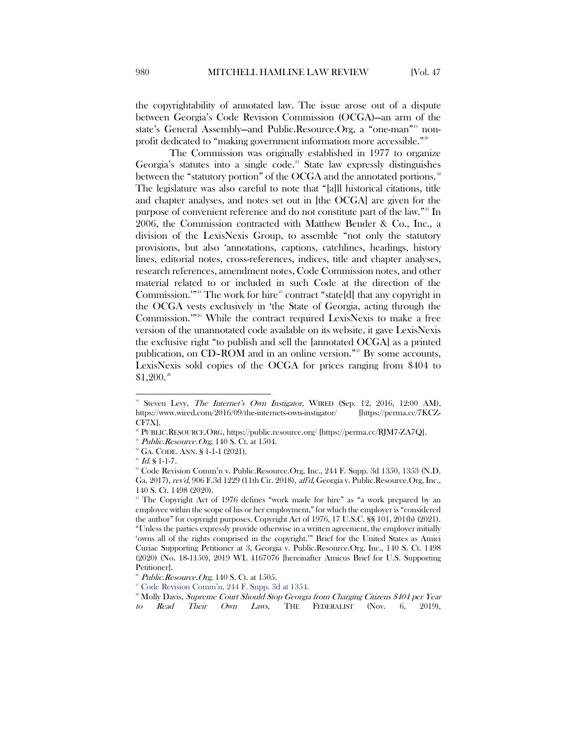the copyrightability of annotated law. The issue arose out of a dispute between Georgia's Code Revision Commission (OCGA)—an arm of the state's General Assembly—and Public.Resource.Org, a "one-man"[19](#page-4-0) non-profit dedicated to "making government information more accessible."<sup>[20](#page-4-1)</sup>

The Commission was originally established in 1977 to organize Georgia's statutes into a single code.<sup>[21](#page-4-2)</sup> State law expressly distinguishes between the "statutory portion" of the OCGA and the annotated portions.<sup>[22](#page-4-3)</sup> The legislature was also careful to note that "[a]ll historical citations, title and chapter analyses, and notes set out in [the OCGA] are given for the purpose of convenient reference and do not constitute part of the law."<sup>[23](#page-4-4)</sup> In 2006, the Commission contracted with Matthew Bender & Co., Inc., a division of the LexisNexis Group, to assemble "not only the statutory provisions, but also 'annotations, captions, catchlines, headings, history lines, editorial notes, cross-references, indices, title and chapter analyses, research references, amendment notes, Code Commission notes, and other material related to or included in such Code at the direction of the Commission."<sup>[24](#page-4-5)</sup> The work for hire<sup>[25](#page-4-6)</sup> contract "state[d] that any copyright in the OCGA vests exclusively in 'the State of Georgia, acting through the Commission."<sup>[26](#page-4-7)</sup> While the contract required LexisNexis to make a free version of the unannotated code available on its website, it gave LexisNexis the exclusive right "to publish and sell the [annotated OCGA] as a printed publication, on  $CD$ -ROM and in an online version."<sup>[27](#page-4-8)</sup> By some accounts, LexisNexis sold copies of the OCGA for prices ranging from \$404 to \$1,200. [28](#page-4-9)

<span id="page-4-0"></span>Steven Levy, The Internet's Own Instigator, WIRED (Sep. 12, 2016, 12:00 AM), https://www.wired.com/2016/09/the-internets-own-instigator/ [https://perma.cc/7KCZ-CF7X].

<span id="page-4-2"></span><span id="page-4-1"></span><sup>&</sup>lt;sup>20</sup> PUBLIC.RESOURCE.ORG, https://public.resource.org/ [https://perma.cc/RJM7-ZA7Q].<br><sup>21</sup> Public.Resource.Org, 140 S. Ct. at 1504.

 $2^2$  GA. CODE. ANN. § 1-1-1 (2021).

<span id="page-4-4"></span><span id="page-4-3"></span> $^{\rm{\tiny{23}}}$  Id. § 1-1-7.

<span id="page-4-5"></span><sup>&</sup>lt;sup>24</sup> Code Revision Comm'n v. Public.Resource.Org, Inc., 244 F. Supp. 3d 1350, 1353 (N.D. Ga. 2017), rev'd, 906 F.3d 1229 (11th Cir. 2018), aff'd, Georgia v. Public.Resource.Org, Inc., 140 S. Ct. 1498 (2020).

<span id="page-4-6"></span> $25$  The Copyright Act of 1976 defines "work made for hire" as "a work prepared by an employee within the scope of his or her employment," for which the employer is "considered the author" for copyright purposes. Copyright Act of 1976, 17 U.S.C. §§ 101, 201(b) (2021). "Unless the parties expressly provide otherwise in a written agreement, the employer initially 'owns all of the rights comprised in the copyright.'" Brief for the United States as Amici Curiae Supporting Petitioner at 3, Georgia v. Public.Resource.Org, Inc., 140 S. Ct. 1498 (2020) (No. 18-1150), 2019 WL 4167076 [hereinafter Amicus Brief for U.S. Supporting Petitioner].

<span id="page-4-7"></span> $26^{\circ}$  Public. Resource. Org, 140 S. Ct. at 1505.

<sup>27</sup> Code Revision Comm'n, 244 F. Supp. 3d at 1354.

<span id="page-4-9"></span><span id="page-4-8"></span><sup>&</sup>lt;sup>28</sup> Molly Davis, Supreme Court Should Stop Georgia from Charging Citizens \$404 per Year to Read Their Own Laws, THE FEDERALIST (Nov. 6, 2019),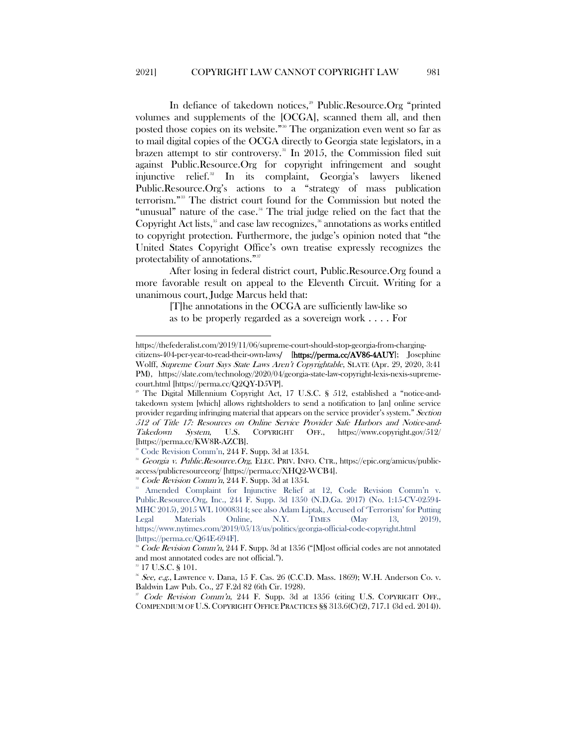In defiance of takedown notices,<sup>[29](#page-5-0)</sup> Public.Resource.Org "printed volumes and supplements of the [OCGA], scanned them all, and then posted those copies on its website."[30](#page-5-1) The organization even went so far as to mail digital copies of the OCGA directly to Georgia state legislators, in a brazen attempt to stir controversy.<sup>[31](#page-5-2)</sup> In 2015, the Commission filed suit against Public.Resource.Org for copyright infringement and sought injunctive relief.[32](#page-5-3) In its complaint, Georgia's lawyers likened Public.Resource.Org's actions to a "strategy of mass publication terrorism."[33](#page-5-4) The district court found for the Commission but noted the "unusual" nature of the case.<sup>[34](#page-5-5)</sup> The trial judge relied on the fact that the Copyright Act lists, $35$  and case law recognizes, $36$  annotations as works entitled to copyright protection. Furthermore, the judge's opinion noted that "the United States Copyright Office's own treatise expressly recognizes the protectability of annotations."<sup>[37](#page-5-8)</sup>

After losing in federal district court, Public.Resource.Org found a more favorable result on appeal to the Eleventh Circuit. Writing for a unanimous court, Judge Marcus held that:

> [T]he annotations in the OCGA are sufficiently law-like so as to be properly regarded as a sovereign work . . . . For

<sup>35</sup> 17 U.S.C. § 101.

 $\overline{a}$ 

https://thefederalist.com/2019/11/06/supreme-court-should-stop-georgia-from-chargingcitizens-404-per-year-to-read-their-own-laws/ [https://perma.cc/AV86-4AUY]; Josephine Wolff, Supreme Court Says State Laws Aren't Copyrightable, SLATE (Apr. 29, 2020, 3:41

PM), https://slate.com/technology/2020/04/georgia-state-law-copyright-lexis-nexis-supremecourt.html [https://perma.cc/Q2QY-D5VP].

<span id="page-5-0"></span>The Digital Millennium Copyright Act, 17 U.S.C. § 512, established a "notice-andtakedown system [which] allows rightsholders to send a notification to [an] online service provider regarding infringing material that appears on the service provider's system." Section 512 of Title 17: Resources on Online Service Provider Safe Harbors and Notice-and-Takedown System, U.S. COPYRIGHT OFF., https://www.copyright.gov/512/ [https://perma.cc/KW8R-AZCB].

<sup>&</sup>lt;sup>®</sup> Code Revision Comm'n, 244 F. Supp. 3d at 1354.

<span id="page-5-2"></span><span id="page-5-1"></span><sup>&</sup>lt;sup>31</sup> Georgia v. Public.Resource.Org, ELEC. PRIV. INFO. CTR., https://epic.org/amicus/publicaccess/publicresourceorg/ [https://perma.cc/XHQ2-WCB4].

<sup>&</sup>lt;sup>32</sup> Code Revision Comm'n, 244 F. Supp. 3d at 1354.

<span id="page-5-4"></span><span id="page-5-3"></span><sup>&</sup>lt;sup>33</sup> Amended Complaint for Injunctive Relief at 12, Code Revision Comm'n v. Public.Resource.Org, Inc., 244 F. Supp. 3d 1350 (N.D.Ga. 2017) (No. 1:15-CV-02594- MHC 2015), 2015 WL 10008314; see also Adam Liptak, Accused of 'Terrorism' for Putting Legal Materials Online, N.Y. TIMES (May 13, 2019), https://www.nytimes.com/2019/05/13/us/politics/georgia-official-code-copyright.html [https://perma.cc/Q64E-694F].

<span id="page-5-5"></span><sup>&</sup>lt;sup>34</sup> Code Revision Comm'n, 244 F. Supp. 3d at 1356 ("[M]ost official codes are not annotated and most annotated codes are not official.").

<span id="page-5-7"></span><span id="page-5-6"></span> $36$  See, e.g., Lawrence v. Dana, 15 F. Cas. 26 (C.C.D. Mass. 1869); W.H. Anderson Co. v. Baldwin Law Pub. Co., 27 F.2d 82 (6th Cir. 1928).

<span id="page-5-8"></span>Code Revision Comm'n, 244 F. Supp. 3d at 1356 (citing U.S. COPYRIGHT OFF., COMPENDIUM OF U.S. COPYRIGHT OFFICE PRACTICES §§ 313.6(C)(2), 717.1 (3d ed. 2014)).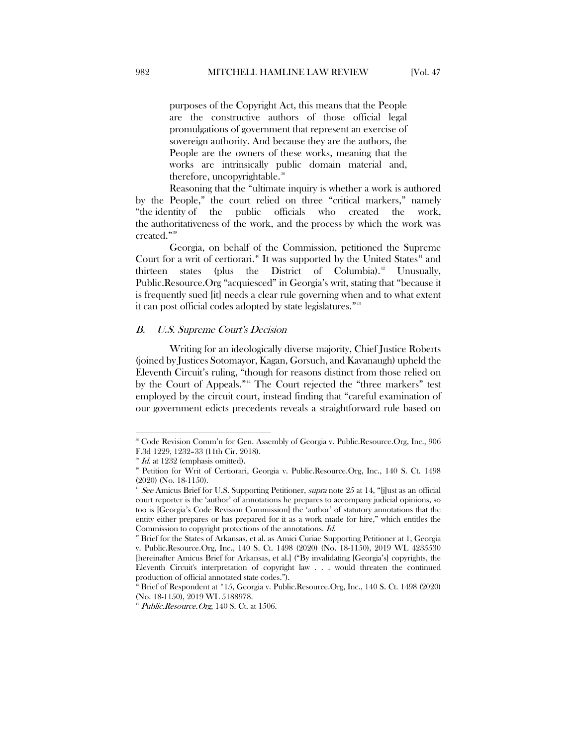purposes of the Copyright Act, this means that the People are the constructive authors of those official legal promulgations of government that represent an exercise of sovereign authority. And because they are the authors, the People are the owners of these works, meaning that the works are intrinsically public domain material and, therefore, uncopyrightable.<sup>[38](#page-6-1)</sup>

Reasoning that the "ultimate inquiry is whether a work is authored by the People," the court relied on three "critical markers," namely "the identity of the public officials who created the work, the authoritativeness of the work, and the process by which the work was created."<sup>[39](#page-6-2)</sup>

Georgia, on behalf of the Commission, petitioned the Supreme Court for a writ of certiorari.<sup>[40](#page-6-3)</sup> It was supported by the United States<sup>[41](#page-6-4)</sup> and thirteen states (plus the District of Columbia).<sup>[42](#page-6-5)</sup> Unusually, Public.Resource.Org "acquiesced" in Georgia's writ, stating that "because it is frequently sued [it] needs a clear rule governing when and to what extent it can post official codes adopted by state legislatures."<sup>43</sup>

#### <span id="page-6-0"></span>B. U.S. Supreme Court's Decision

Writing for an ideologically diverse majority, Chief Justice Roberts (joined by Justices Sotomayor, Kagan, Gorsuch, and Kavanaugh) upheld the Eleventh Circuit's ruling, "though for reasons distinct from those relied on by the Court of Appeals."<sup>[44](#page-6-7)</sup> The Court rejected the "three markers" test employed by the circuit court, instead finding that "careful examination of our government edicts precedents reveals a straightforward rule based on

<span id="page-6-1"></span> <sup>38</sup> Code Revision Comm'n for Gen. Assembly of Georgia v. Public.Resource.Org, Inc., 906 F.3d 1229, 1232–33 (11th Cir. 2018).

Id. at 1232 (emphasis omitted).

<span id="page-6-3"></span><span id="page-6-2"></span><sup>40</sup> Petition for Writ of Certiorari, Georgia v. Public.Resource.Org, Inc., 140 S. Ct. 1498 (2020) (No. 18-1150).

<span id="page-6-4"></span><sup>&</sup>lt;sup>41</sup> See Amicus Brief for U.S. Supporting Petitioner, *supra* note 25 at 14, "[j]ust as an official court reporter is the 'author' of annotations he prepares to accompany judicial opinions, so too is [Georgia's Code Revision Commission] the 'author' of statutory annotations that the entity either prepares or has prepared for it as a work made for hire," which entitles the Commission to copyright protections of the annotations. Id.

<span id="page-6-5"></span><sup>&</sup>lt;sup>42</sup> Brief for the States of Arkansas, et al. as Amici Curiae Supporting Petitioner at 1, Georgia v. Public.Resource.Org, Inc., 140 S. Ct. 1498 (2020) (No. 18-1150), 2019 WL 4235530 [hereinafter Amicus Brief for Arkansas, et al.] ("By invalidating [Georgia's] copyrights, the Eleventh Circuit's interpretation of copyright law . . . would threaten the continued production of official annotated state codes.").

<span id="page-6-6"></span><sup>43</sup> Brief of Respondent at \*15, Georgia v. Public.Resource.Org, Inc., 140 S. Ct. 1498 (2020) (No. 18-1150), 2019 WL 5188978.

<span id="page-6-7"></span> $44$  Public.Resource.Org, 140 S. Ct. at 1506.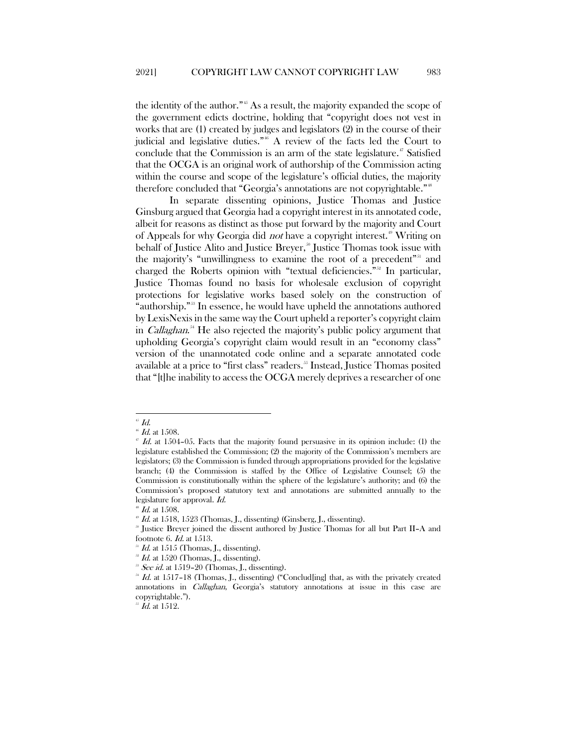the identity of the author."[45](#page-7-0) As a result, the majority expanded the scope of the government edicts doctrine, holding that "copyright does not vest in works that are (1) created by judges and legislators (2) in the course of their judicial and legislative duties."[46](#page-7-1) A review of the facts led the Court to conclude that the Commission is an arm of the state legislature.<sup>[47](#page-7-2)</sup> Satisfied that the OCGA is an original work of authorship of the Commission acting within the course and scope of the legislature's official duties, the majority therefore concluded that "Georgia's annotations are not copyrightable."[48](#page-7-3)

In separate dissenting opinions, Justice Thomas and Justice Ginsburg argued that Georgia had a copyright interest in its annotated code, albeit for reasons as distinct as those put forward by the majority and Court of Appeals for why Georgia did *not* have a copyright interest.<sup>[49](#page-7-4)</sup> Writing on behalf of Justice Alito and Justice Breyer,<sup>30</sup> Justice Thomas took issue with the majority's "unwillingness to examine the root of a precedent"<sup>[51](#page-7-6)</sup> and charged the Roberts opinion with "textual deficiencies."[52](#page-7-7) In particular, Justice Thomas found no basis for wholesale exclusion of copyright protections for legislative works based solely on the construction of "authorship."[53](#page-7-8) In essence, he would have upheld the annotations authored by LexisNexis in the same way the Court upheld a reporter's copyright claim in *Callaghan*.<sup>[54](#page-7-9)</sup> He also rejected the majority's public policy argument that upholding Georgia's copyright claim would result in an "economy class" version of the unannotated code online and a separate annotated code available at a price to "first class" readers.<sup>[55](#page-7-10)</sup> Instead, Justice Thomas posited that "[t]he inability to access the OCGA merely deprives a researcher of one

<span id="page-7-0"></span> $\mathbf{H}^{\mathbf{s}}$  Id.

 $#$  Id. at 1508.

<span id="page-7-2"></span><span id="page-7-1"></span> $^{17}$  Id. at 1504–05. Facts that the majority found persuasive in its opinion include: (1) the legislature established the Commission; (2) the majority of the Commission's members are legislators; (3) the Commission is funded through appropriations provided for the legislative branch; (4) the Commission is staffed by the Office of Legislative Counsel; (5) the Commission is constitutionally within the sphere of the legislature's authority; and (6) the Commission's proposed statutory text and annotations are submitted annually to the legislature for approval. Id.

 $^{48}$  *Id.* at 1508.

<span id="page-7-5"></span><span id="page-7-4"></span><span id="page-7-3"></span> $H<sup>49</sup>$  Id. at 1518, 1523 (Thomas, J., dissenting) (Ginsberg, J., dissenting).

<sup>50</sup> Justice Breyer joined the dissent authored by Justice Thomas for all but Part II–A and footnote 6. Id. at 1513.

<span id="page-7-6"></span> $Id.$  at 1515 (Thomas, J., dissenting).

 $Id.$  at 1520 (Thomas, J., dissenting).

 $58$  See id. at 1519–20 (Thomas, J., dissenting).

<span id="page-7-9"></span><span id="page-7-8"></span><span id="page-7-7"></span> $^{34}$  *Id.* at 1517–18 (Thomas, J., dissenting) ("Conclud[ing] that, as with the privately created annotations in Callaghan, Georgia's statutory annotations at issue in this case are copyrightable.").

<span id="page-7-10"></span> $55$  Id. at 1512.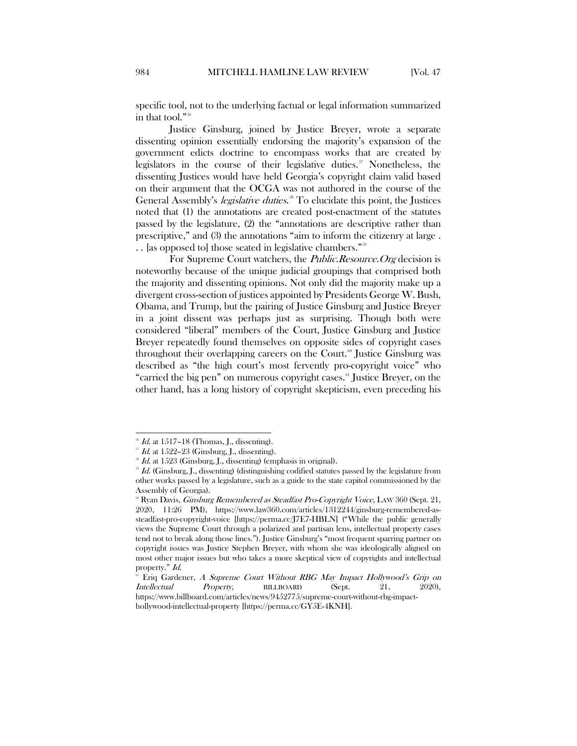specific tool, not to the underlying factual or legal information summarized in that tool."[56](#page-8-0)

Justice Ginsburg, joined by Justice Breyer, wrote a separate dissenting opinion essentially endorsing the majority's expansion of the government edicts doctrine to encompass works that are created by legislators in the course of their legislative duties.<sup>[57](#page-8-1)</sup> Nonetheless, the dissenting Justices would have held Georgia's copyright claim valid based on their argument that the OCGA was not authored in the course of the General Assembly's *legislative duties*.<sup>38</sup> To elucidate this point, the Justices noted that (1) the annotations are created post-enactment of the statutes passed by the legislature, (2) the "annotations are descriptive rather than prescriptive," and (3) the annotations "aim to inform the citizenry at large . .. [as opposed to] those seated in legislative chambers."<sup>55</sup>

For Supreme Court watchers, the *Public.Resource.Org* decision is noteworthy because of the unique judicial groupings that comprised both the majority and dissenting opinions. Not only did the majority make up a divergent cross-section of justices appointed by Presidents George W. Bush, Obama, and Trump, but the pairing of Justice Ginsburg and Justice Breyer in a joint dissent was perhaps just as surprising. Though both were considered "liberal" members of the Court, Justice Ginsburg and Justice Breyer repeatedly found themselves on opposite sides of copyright cases throughout their overlapping careers on the Court.<sup> $\circ$ </sup> Justice Ginsburg was described as "the high court's most fervently pro-copyright voice" who "carried the big pen" on numerous copyright cases.<sup>[61](#page-8-5)</sup> Justice Breyer, on the other hand, has a long history of copyright skepticism, even preceding his

 $\frac{56}{1}$  Id. at 1517–18 (Thomas, J., dissenting).

<span id="page-8-2"></span><span id="page-8-1"></span><span id="page-8-0"></span> $57$  Id. at 1522-23 (Ginsburg, J., dissenting).

<sup>&</sup>lt;sup>38</sup> Id. at 1523 (Ginsburg, J., dissenting) (emphasis in original).

<span id="page-8-3"></span> $B^3$  Id. (Ginsburg, J., dissenting) (distinguishing codified statutes passed by the legislature from other works passed by a legislature, such as a guide to the state capitol commissioned by the Assembly of Georgia).

<span id="page-8-4"></span> $\degree$  Ryan Davis, *Ginsburg Remembered as Steadfast Pro-Copyright Voice*, LAW 360 (Sept. 21, 2020, 11:26 PM), https://www.law360.com/articles/1312244/ginsburg-remembered-assteadfast-pro-copyright-voice [https://perma.cc/J7E7-HBLN] ("While the public generally views the Supreme Court through a polarized and partisan lens, intellectual property cases tend not to break along those lines."). Justice Ginsburg's "most frequent sparring partner on copyright issues was Justice Stephen Breyer, with whom she was ideologically aligned on most other major issues but who takes a more skeptical view of copyrights and intellectual property." Id.

<span id="page-8-5"></span><sup>&</sup>lt;sup>4</sup> Eriq Gardener, A Supreme Court Without RBG May Impact Hollywood's Grip on Intellectual Property, BILLBOARD (Sept. 21, 2020), https://www.billboard.com/articles/news/9452775/supreme-court-without-rbg-impact-

hollywood-intellectual-property [https://perma.cc/GY5E-4KNH].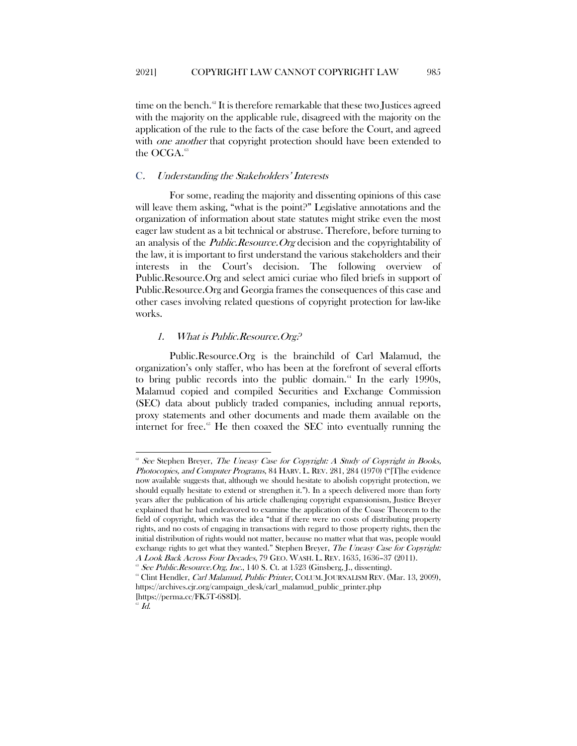time on the bench. $62$  It is therefore remarkable that these two Justices agreed with the majority on the applicable rule, disagreed with the majority on the application of the rule to the facts of the case before the Court, and agreed with *one another* that copyright protection should have been extended to the OCGA.<sup>[63](#page-9-3)</sup>

#### <span id="page-9-0"></span>C. Understanding the Stakeholders' Interests

For some, reading the majority and dissenting opinions of this case will leave them asking, "what is the point?" Legislative annotations and the organization of information about state statutes might strike even the most eager law student as a bit technical or abstruse. Therefore, before turning to an analysis of the *Public.Resource.Org* decision and the copyrightability of the law, it is important to first understand the various stakeholders and their interests in the Court's decision. The following overview of Public.Resource.Org and select amici curiae who filed briefs in support of Public.Resource.Org and Georgia frames the consequences of this case and other cases involving related questions of copyright protection for law-like works.

# <span id="page-9-1"></span>1. What is Public.Resource.Org?

Public.Resource.Org is the brainchild of Carl Malamud, the organization's only staffer, who has been at the forefront of several efforts to bring public records into the public domain.<sup> $64$ </sup> In the early 1990s, Malamud copied and compiled Securities and Exchange Commission (SEC) data about publicly traded companies, including annual reports, proxy statements and other documents and made them available on the internet for free. $65$  He then coaxed the SEC into eventually running the

<span id="page-9-2"></span> $68$  Stephen Breyer, The Uneasy Case for Copyright: A Study of Copyright in Books, Photocopies, and Computer Programs, 84 HARV. L. REV. 281, 284 (1970) ("[T]he evidence now available suggests that, although we should hesitate to abolish copyright protection, we should equally hesitate to extend or strengthen it."). In a speech delivered more than forty years after the publication of his article challenging copyright expansionism, Justice Breyer explained that he had endeavored to examine the application of the Coase Theorem to the field of copyright, which was the idea "that if there were no costs of distributing property rights, and no costs of engaging in transactions with regard to those property rights, then the initial distribution of rights would not matter, because no matter what that was, people would exchange rights to get what they wanted." Stephen Breyer, The Uneasy Case for Copyright: A Look Back Across Four Decades, 79 GEO. WASH. L. REV. 1635, 1636–37 (2011).

 $\delta^8$  See Public.Resource.Org, Inc., 140 S. Ct. at 1523 (Ginsberg, J., dissenting).

<span id="page-9-4"></span><span id="page-9-3"></span><sup>&</sup>lt;sup>64</sup> Clint Hendler, *Carl Malamud, Public Printer*, COLUM. JOURNALISM REV. (Mar. 13, 2009), https://archives.cjr.org/campaign\_desk/carl\_malamud\_public\_printer.php [https://perma.cc/FK5T-6S8D].

<span id="page-9-5"></span> $65$   $Id.$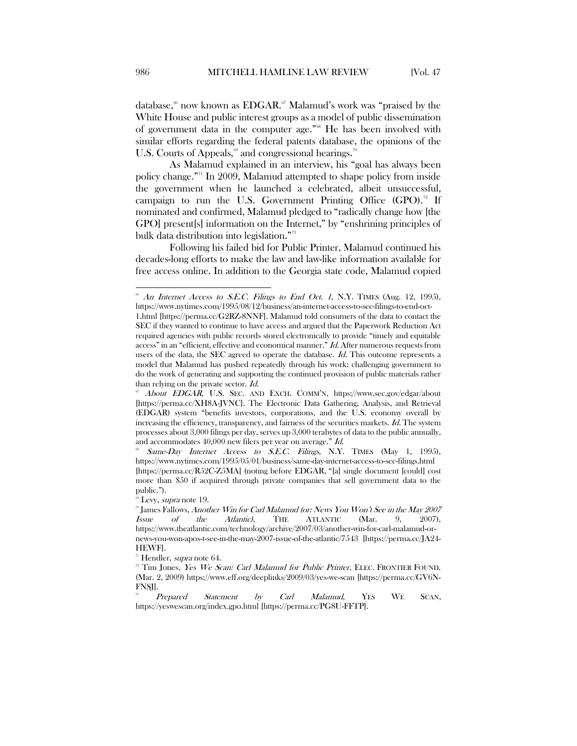database,<sup>[66](#page-10-0)</sup> now known as EDGAR.<sup>[67](#page-10-1)</sup> Malamud's work was "praised by the White House and public interest groups as a model of public dissemination of government data in the computer age."<sup>[68](#page-10-2)</sup> He has been involved with similar efforts regarding the federal patents database, the opinions of the U.S. Courts of Appeals,<sup>[69](#page-10-3)</sup> and congressional hearings.<sup>[70](#page-10-4)</sup>

As Malamud explained in an interview, his "goal has always been policy change."[71](#page-10-5) In 2009, Malamud attempted to shape policy from inside the government when he launched a celebrated, albeit unsuccessful, campaign to run the U.S. Government Printing Office  $(GPO)^{2}$  If nominated and confirmed, Malamud pledged to "radically change how [the GPO] present[s] information on the Internet," by "enshrining principles of bulk data distribution into legislation."[73](#page-10-7)

Following his failed bid for Public Printer, Malamud continued his decades-long efforts to make the law and law-like information available for free access online. In addition to the Georgia state code, Malamud copied

<span id="page-10-0"></span> $66$  An Internet Access to S.E.C. Filings to End Oct. 1, N.Y. TIMES (Aug. 12, 1995), https://www.nytimes.com/1995/08/12/business/an-internet-access-to-sec-filings-to-end-oct-

<sup>1.</sup>html [https://perma.cc/G2RZ-8NNF]. Malamud told consumers of the data to contact the SEC if they wanted to continue to have access and argued that the Paperwork Reduction Act required agencies with public records stored electronically to provide "timely and equitable access" in an "efficient, effective and economical manner." Id. After numerous requests from users of the data, the SEC agreed to operate the database. Id. This outcome represents a model that Malamud has pushed repeatedly through his work: challenging government to do the work of generating and supporting the continued provision of public materials rather than relying on the private sector. Id.

<span id="page-10-1"></span><sup>67</sup> About EDGAR, U.S. SEC. AND EXCH. COMM'N, https://www.sec.gov/edgar/about [https://perma.cc/XH8A-JVNC]. The Electronic Data Gathering, Analysis, and Retrieval (EDGAR) system "benefits investors, corporations, and the U.S. economy overall by increasing the efficiency, transparency, and fairness of the securities markets. Id. The system processes about 3,000 filings per day, serves up 3,000 terabytes of data to the public annually, and accommodates 40,000 new filers per year on average." Id.

<span id="page-10-2"></span><sup>&</sup>lt;sup>88</sup> Same-Day Internet Access to S.E.C. Filings, N.Y. TIMES (May 1, 1995), https://www.nytimes.com/1995/05/01/business/same-day-internet-access-to-sec-filings.html [https://perma.cc/R52C-Z5MA] (noting before EDGAR, "[a] single document [could] cost more than \$50 if acquired through private companies that sell government data to the public.").

<span id="page-10-3"></span><sup>&</sup>lt;sup>69</sup> Levy, *supra* note 19.

<span id="page-10-4"></span><sup>&</sup>lt;sup>70</sup> James Fallows, *Another Win for Carl Malamud (or: News You Won't See in the May 2007* Issue of the Atlantic), THE ATLANTIC (Mar. 9, 2007), https://www.theatlantic.com/technology/archive/2007/03/another-win-for-carl-malamud-ornews-you-won-apos-t-see-in-the-may-2007-issue-of-the-atlantic/7543 [https://perma.cc/JA24- HEWF].

<span id="page-10-5"></span>Hendler, supra note 64.

<span id="page-10-6"></span> $7<sup>2</sup>$  Tim Jones, Yes We Scan: Carl Malamud for Public Printer, ELEC. FRONTIER FOUND. (Mar. 2, 2009) https://www.eff.org/deeplinks/2009/03/yes-we-scan [https://perma.cc/GV6N-FNSJ].

<span id="page-10-7"></span> $73$  Prepared Statement by Carl Malamud, YES WE SCAN, https://yeswescan.org/index.gpo.html [https://perma.cc/PG8U-FFTP].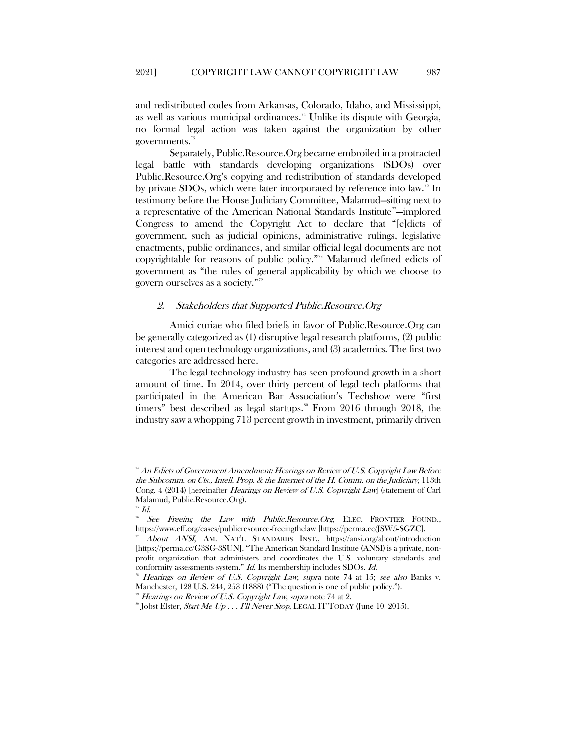and redistributed codes from Arkansas, Colorado, Idaho, and Mississippi, as well as various municipal ordinances.<sup>[74](#page-11-1)</sup> Unlike its dispute with Georgia, no formal legal action was taken against the organization by other governments.[75](#page-11-2)

Separately, Public.Resource.Org became embroiled in a protracted legal battle with standards developing organizations (SDOs) over Public.Resource.Org's copying and redistribution of standards developed by private SDOs, which were later incorporated by reference into law.<sup>[76](#page-11-3)</sup> In testimony before the House Judiciary Committee, Malamud—sitting next to a representative of the American National Standards Institute"—implored Congress to amend the Copyright Act to declare that "[e]dicts of government, such as judicial opinions, administrative rulings, legislative enactments, public ordinances, and similar official legal documents are not copyrightable for reasons of public policy."[78](#page-11-5) Malamud defined edicts of government as "the rules of general applicability by which we choose to govern ourselves as a society.["79](#page-11-6)

#### <span id="page-11-0"></span>2. Stakeholders that Supported Public.Resource.Org

Amici curiae who filed briefs in favor of Public.Resource.Org can be generally categorized as (1) disruptive legal research platforms, (2) public interest and open technology organizations, and (3) academics. The first two categories are addressed here.

The legal technology industry has seen profound growth in a short amount of time. In 2014, over thirty percent of legal tech platforms that participated in the American Bar Association's Techshow were "first timers" best described as legal startups.<sup>[80](#page-11-7)</sup> From 2016 through 2018, the industry saw a whopping 713 percent growth in investment, primarily driven

<span id="page-11-1"></span> $^{74}$  An Edicts of Government Amendment: Hearings on Review of U.S. Copyright Law Before the Subcomm. on Cts., Intell. Prop. & the Internet of the H. Comm. on the Judiciary, 113th Cong. 4 (2014) [hereinafter *Hearings on Review of U.S. Copyright Law*] (statement of Carl Malamud, Public.Resource.Org).<br><sup>25</sup> Id.

<span id="page-11-2"></span>

<span id="page-11-3"></span>See Freeing the Law with Public.Resource.Org, ELEC. FRONTIER FOUND., https://www.eff.org/cases/publicresource-freeingthelaw [https://perma.cc/JSW5-SGZC].

<span id="page-11-4"></span>About ANSI, AM. NAT'L STANDARDS INST., https://ansi.org/about/introduction [https://perma.cc/G3SG-3SUN]. "The American Standard Institute (ANSI) is a private, nonprofit organization that administers and coordinates the U.S. voluntary standards and conformity assessments system." Id. Its membership includes SDOs. Id.

<span id="page-11-5"></span>Hearings on Review of U.S. Copyright Law, supra note 74 at 15; see also Banks v. Manchester, 128 U.S. 244, 253 (1888) ("The question is one of public policy.").

 $^{\circ}$  Hearings on Review of U.S. Copyright Law, supra note 74 at 2.

<span id="page-11-7"></span><span id="page-11-6"></span> $\sup$  Jobst Elster, *Start Me Up . . . I'll Never Stop*, LEGAL IT TODAY (June 10, 2015).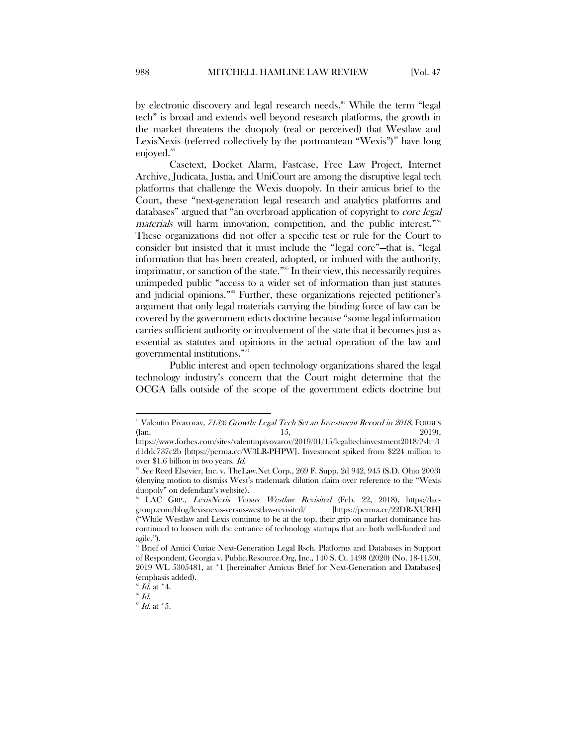by electronic discovery and legal research needs.<sup>[81](#page-12-0)</sup> While the term "legal tech" is broad and extends well beyond research platforms, the growth in the market threatens the duopoly (real or perceived) that Westlaw and LexisNexis (referred collectively by the portmanteau "Wexis")<sup>[82](#page-12-1)</sup> have long enjoyed.<sup>[83](#page-12-2)</sup>

Casetext, Docket Alarm, Fastcase, Free Law Project, Internet Archive, Judicata, Justia, and UniCourt are among the disruptive legal tech platforms that challenge the Wexis duopoly. In their amicus brief to the Court, these "next-generation legal research and analytics platforms and databases" argued that "an overbroad application of copyright to core legal materials will harm innovation, competition, and the public interest."<sup>[84](#page-12-3)</sup> These organizations did not offer a specific test or rule for the Court to consider but insisted that it must include the "legal core"—that is, "legal information that has been created, adopted, or imbued with the authority, imprimatur, or sanction of the state."<sup>[85](#page-12-4)</sup> In their view, this necessarily requires unimpeded public "access to a wider set of information than just statutes and judicial opinions."[86](#page-12-5) Further, these organizations rejected petitioner's argument that only legal materials carrying the binding force of law can be covered by the government edicts doctrine because "some legal information carries sufficient authority or involvement of the state that it becomes just as essential as statutes and opinions in the actual operation of the law and governmental institutions."[87](#page-12-6)

Public interest and open technology organizations shared the legal technology industry's concern that the Court might determine that the OCGA falls outside of the scope of the government edicts doctrine but

<span id="page-12-0"></span><sup>&</sup>lt;sup>81</sup> Valentin Pivavorav, 713% Growth: Legal Tech Set an Investment Record in 2018, FORBES (Jan. 2019),  $15$ ,  $2019$ ),

https://www.forbes.com/sites/valentinpivovarov/2019/01/15/legaltechinvestment2018/?sh=3 d1ddc737c2b [https://perma.cc/W3LR-PHPW]. Investment spiked from \$224 million to over \$1.6 billion in two years. Id.

<span id="page-12-1"></span><sup>&</sup>lt;sup>82</sup> See Reed Elsevier, Inc. v. TheLaw.Net Corp., 269 F. Supp. 2d 942, 945 (S.D. Ohio 2003) (denying motion to dismiss West's trademark dilution claim over reference to the "Wexis duopoly" on defendant's website).

<span id="page-12-2"></span>LAC GRP., LexisNexis Versus Westlaw Revisited (Feb. 22, 2018), https://lacgroup.com/blog/lexisnexis-versus-westlaw-revisited/ [https://perma.cc/22DR-XURH] ("While Westlaw and Lexis continue to be at the top, their grip on market dominance has continued to loosen with the entrance of technology startups that are both well-funded and agile.").

<span id="page-12-3"></span><sup>&</sup>lt;sup>84</sup> Brief of Amici Curiae Next-Generation Legal Rsch. Platforms and Databases in Support of Respondent, Georgia v. Public.Resource.Org, Inc., 140 S. Ct. 1498 (2020) (No. 18-1150), 2019 WL 5305481, at \*1 [hereinafter Amicus Brief for Next-Generation and Databases] (emphasis added).

 $5$  Id. at  $^*$ 4.

<span id="page-12-5"></span><span id="page-12-4"></span> $^{86}$  Id.

<span id="page-12-6"></span> $^{87}$  Id. at  $^\ast 5.$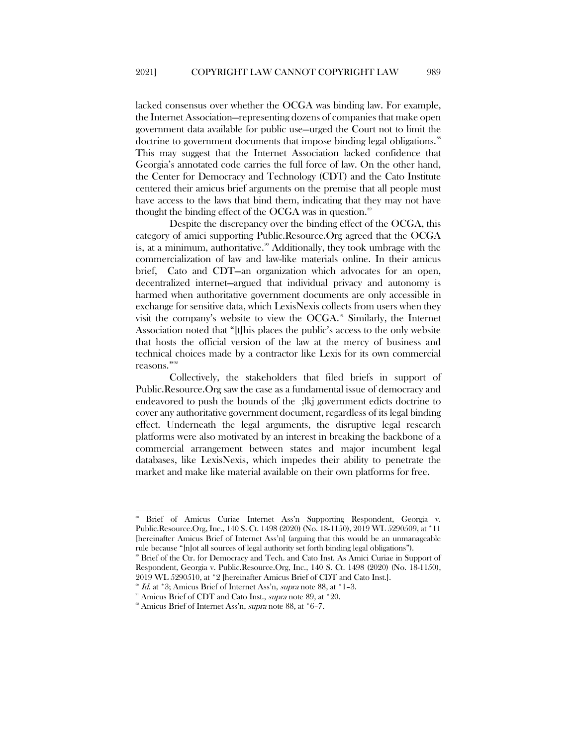lacked consensus over whether the OCGA was binding law. For example, the Internet Association—representing dozens of companies that make open government data available for public use—urged the Court not to limit the doctrine to government documents that impose binding legal obligations.<sup>[88](#page-13-0)</sup> This may suggest that the Internet Association lacked confidence that Georgia's annotated code carries the full force of law. On the other hand, the Center for Democracy and Technology (CDT) and the Cato Institute centered their amicus brief arguments on the premise that all people must have access to the laws that bind them, indicating that they may not have thought the binding effect of the OCGA was in question.<sup>[89](#page-13-1)</sup>

Despite the discrepancy over the binding effect of the OCGA, this category of amici supporting Public.Resource.Org agreed that the OCGA is, at a minimum, authoritative.<sup>[90](#page-13-2)</sup> Additionally, they took umbrage with the commercialization of law and law-like materials online. In their amicus brief, Cato and CDT—an organization which advocates for an open, decentralized internet—argued that individual privacy and autonomy is harmed when authoritative government documents are only accessible in exchange for sensitive data, which LexisNexis collects from users when they visit the company's website to view the  $OCGA$ .<sup>[91](#page-13-3)</sup> Similarly, the Internet Association noted that "[t]his places the public's access to the only website that hosts the official version of the law at the mercy of business and technical choices made by a contractor like Lexis for its own commercial reasons."[92](#page-13-4)

Collectively, the stakeholders that filed briefs in support of Public.Resource.Org saw the case as a fundamental issue of democracy and endeavored to push the bounds of the ;lkj government edicts doctrine to cover any authoritative government document, regardless of its legal binding effect. Underneath the legal arguments, the disruptive legal research platforms were also motivated by an interest in breaking the backbone of a commercial arrangement between states and major incumbent legal databases, like LexisNexis, which impedes their ability to penetrate the market and make like material available on their own platforms for free.

<span id="page-13-0"></span> <sup>88</sup> Brief of Amicus Curiae Internet Ass'n Supporting Respondent, Georgia v. Public.Resource.Org, Inc., 140 S. Ct. 1498 (2020) (No. 18-1150), 2019 WL 5290509, at \*11 [hereinafter Amicus Brief of Internet Ass'n] (arguing that this would be an unmanageable rule because "[n]ot all sources of legal authority set forth binding legal obligations").

<span id="page-13-1"></span>Brief of the Ctr. for Democracy and Tech. and Cato Inst. As Amici Curiae in Support of Respondent, Georgia v. Public.Resource.Org, Inc., 140 S. Ct. 1498 (2020) (No. 18-1150), 2019 WL 5290510, at \*2 [hereinafter Amicus Brief of CDT and Cato Inst.].

Id. at \*3; Amicus Brief of Internet Ass'n, supra note 88, at \*1-3.

<span id="page-13-2"></span><sup>&</sup>lt;sup>91</sup> Amicus Brief of CDT and Cato Inst., *supra* note 89, at \*20.

<span id="page-13-4"></span><span id="page-13-3"></span><sup>&</sup>lt;sup>92</sup> Amicus Brief of Internet Ass'n, *supra* note 88, at \*6-7.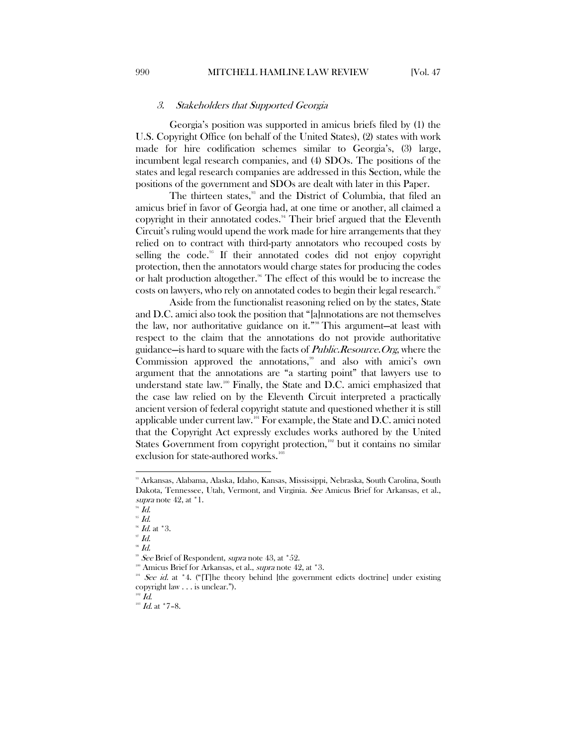#### 3. Stakeholders that Supported Georgia

<span id="page-14-0"></span>Georgia's position was supported in amicus briefs filed by (1) the U.S. Copyright Office (on behalf of the United States), (2) states with work made for hire codification schemes similar to Georgia's, (3) large, incumbent legal research companies, and (4) SDOs. The positions of the states and legal research companies are addressed in this Section, while the positions of the government and SDOs are dealt with later in this Paper.

The thirteen states,<sup>33</sup> and the District of Columbia, that filed an amicus brief in favor of Georgia had, at one time or another, all claimed a copyright in their annotated codes.<sup>[94](#page-14-2)</sup> Their brief argued that the Eleventh Circuit's ruling would upend the work made for hire arrangements that they relied on to contract with third-party annotators who recouped costs by selling the code.<sup>[95](#page-14-3)</sup> If their annotated codes did not enjoy copyright protection, then the annotators would charge states for producing the codes or halt production altogether.<sup>[96](#page-14-4)</sup> The effect of this would be to increase the costs on lawyers, who rely on annotated codes to begin their legal research.<sup>[97](#page-14-5)</sup>

Aside from the functionalist reasoning relied on by the states, State and D.C. amici also took the position that "[a]nnotations are not themselves the law, nor authoritative guidance on it."<sup>[98](#page-14-6)</sup> This argument—at least with respect to the claim that the annotations do not provide authoritative guidance—is hard to square with the facts of Public.Resource.Org, where the Commission approved the annotations,<sup>[99](#page-14-7)</sup> and also with amici's own argument that the annotations are "a starting point" that lawyers use to understand state law.<sup>[100](#page-14-8)</sup> Finally, the State and D.C. amici emphasized that the case law relied on by the Eleventh Circuit interpreted a practically ancient version of federal copyright statute and questioned whether it is still applicable under current law.[101](#page-14-9) For example, the State and D.C. amici noted that the Copyright Act expressly excludes works authored by the United States Government from copyright protection,<sup>[102](#page-14-10)</sup> but it contains no similar exclusion for state-authored works.<sup>[103](#page-14-11)</sup>

 $\overline{\phantom{a}}$ 

<span id="page-14-6"></span><span id="page-14-5"></span> $^{\circ \circ }$   $Id.$ 

<span id="page-14-1"></span><sup>93</sup> Arkansas, Alabama, Alaska, Idaho, Kansas, Mississippi, Nebraska, South Carolina, South Dakota, Tennessee, Utah, Vermont, and Virginia. See Amicus Brief for Arkansas, et al., supra note 42, at  $\degree$ 1.

<span id="page-14-3"></span><span id="page-14-2"></span> $^{94}$  Id.

 $95$   $Id.$ 

<span id="page-14-4"></span> $^{96}$   $\emph{Id.}$  at \*3.

 $^{98}$  Id.

See Brief of Respondent, supra note 43, at \*52.

<span id="page-14-8"></span><span id="page-14-7"></span><sup>&</sup>lt;sup>100</sup> Amicus Brief for Arkansas, et al., *supra* note 42, at \*3.

<span id="page-14-9"></span><sup>&</sup>lt;sup>101</sup> See id. at <sup>\*</sup>4. ("[T]he theory behind [the government edicts doctrine] under existing copyright law . . . is unclear.").

<span id="page-14-11"></span><span id="page-14-10"></span>

 $102 \frac{Id}{.}$ <br> $103 \frac{Id}{.}$  at  $*7-8$ .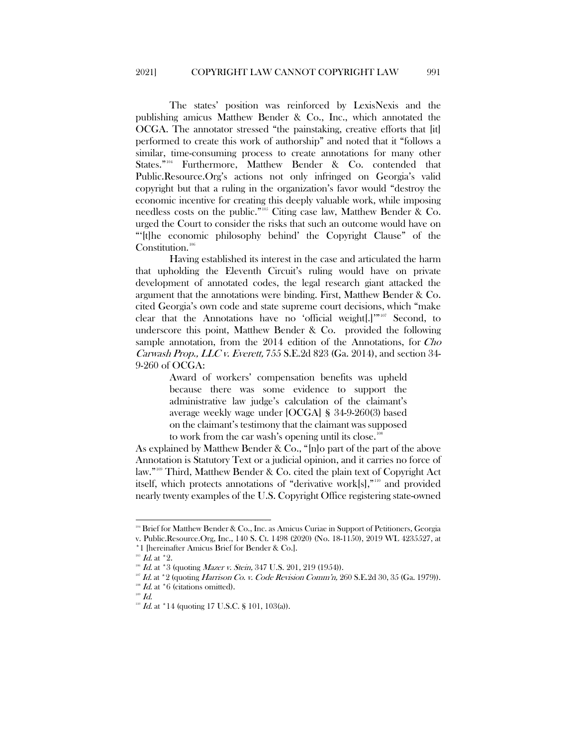The states' position was reinforced by LexisNexis and the publishing amicus Matthew Bender & Co., Inc., which annotated the OCGA. The annotator stressed "the painstaking, creative efforts that [it] performed to create this work of authorship" and noted that it "follows a similar, time-consuming process to create annotations for many other States."<sup>[104](#page-15-0)</sup> Furthermore, Matthew Bender & Co. contended that Public.Resource.Org's actions not only infringed on Georgia's valid copyright but that a ruling in the organization's favor would "destroy the economic incentive for creating this deeply valuable work, while imposing needless costs on the public."[105](#page-15-1) Citing case law, Matthew Bender & Co. urged the Court to consider the risks that such an outcome would have on "'[t]he economic philosophy behind' the Copyright Clause" of the Constitution.<sup>[106](#page-15-2)</sup>

Having established its interest in the case and articulated the harm that upholding the Eleventh Circuit's ruling would have on private development of annotated codes, the legal research giant attacked the argument that the annotations were binding. First, Matthew Bender & Co. cited Georgia's own code and state supreme court decisions, which "make clear that the Annotations have no 'official weight[.]'"[107](#page-15-3) Second, to underscore this point, Matthew Bender & Co. provided the following sample annotation, from the 2014 edition of the Annotations, for Cho Carwash Prop., LLC v. Everett, 755 S.E.2d 823 (Ga. 2014), and section 34- 9-260 of OCGA:

> Award of workers' compensation benefits was upheld because there was some evidence to support the administrative law judge's calculation of the claimant's average weekly wage under [OCGA] § 34-9-260(3) based on the claimant's testimony that the claimant was supposed to work from the car wash's opening until its close.<sup>10</sup>

As explained by Matthew Bender & Co., "[n]o part of the part of the above Annotation is Statutory Text or a judicial opinion, and it carries no force of law."[109](#page-15-5) Third, Matthew Bender & Co. cited the plain text of Copyright Act itself, which protects annotations of "derivative work[s],"[110](#page-15-6) and provided nearly twenty examples of the U.S. Copyright Office registering state-owned

<span id="page-15-0"></span><sup>104</sup> Brief for Matthew Bender & Co., Inc. as Amicus Curiae in Support of Petitioners, Georgia v. Public.Resource.Org, Inc., 140 S. Ct. 1498 (2020) (No. 18-1150), 2019 WL 4235527, at \*1 [hereinafter Amicus Brief for Bender & Co.].

<span id="page-15-2"></span><span id="page-15-1"></span> $165$  Id. at  $*2$ .

 $106$  *Id.* at \*3 (quoting *Mazer v. Stein*, 347 U.S. 201, 219 (1954)).

 $17$  Id. at  $*2$  (quoting Harrison Co. v. Code Revision Comm'n, 260 S.E.2d 30, 35 (Ga. 1979)).

<span id="page-15-3"></span>*Id.* at \*6 (citations omitted).

<span id="page-15-6"></span><span id="page-15-5"></span><span id="page-15-4"></span> $109$   $Id.$ 

<sup>&</sup>lt;sup>110</sup> Id. at \*14 (quoting 17 U.S.C. § 101, 103(a)).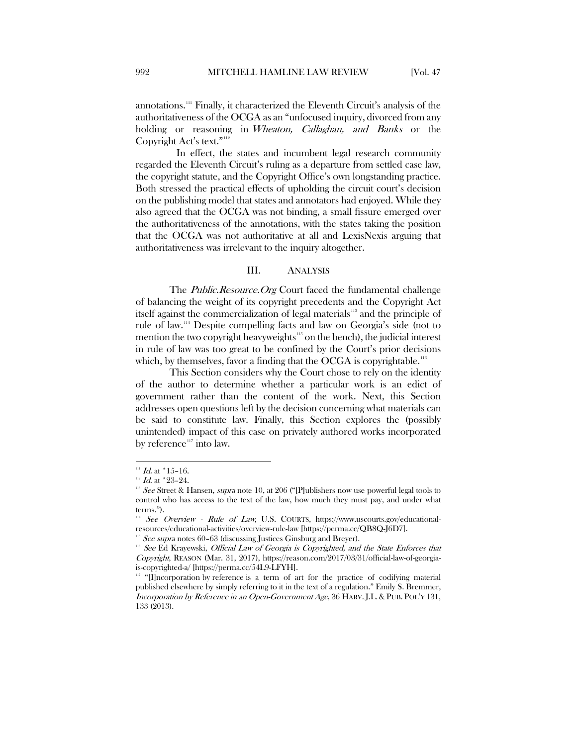annotations.[111](#page-16-1) Finally, it characterized the Eleventh Circuit's analysis of the authoritativeness of the OCGA as an "unfocused inquiry, divorced from any holding or reasoning in Wheaton, Callaghan, and Banks or the Copyright Act's text."<sup>[112](#page-16-2)</sup>

In effect, the states and incumbent legal research community regarded the Eleventh Circuit's ruling as a departure from settled case law, the copyright statute, and the Copyright Office's own longstanding practice. Both stressed the practical effects of upholding the circuit court's decision on the publishing model that states and annotators had enjoyed. While they also agreed that the OCGA was not binding, a small fissure emerged over the authoritativeness of the annotations, with the states taking the position that the OCGA was not authoritative at all and LexisNexis arguing that authoritativeness was irrelevant to the inquiry altogether.

#### III. ANALYSIS

<span id="page-16-0"></span>The *Public.Resource.Org* Court faced the fundamental challenge of balancing the weight of its copyright precedents and the Copyright Act itself against the commercialization of legal materials<sup>[113](#page-16-3)</sup> and the principle of rule of law.[114](#page-16-4) Despite compelling facts and law on Georgia's side (not to mention the two copyright heavyweights<sup>[115](#page-16-5)</sup> on the bench), the judicial interest in rule of law was too great to be confined by the Court's prior decisions which, by themselves, favor a finding that the OCGA is copyrightable.  $^{116}$  $^{116}$  $^{116}$ 

This Section considers why the Court chose to rely on the identity of the author to determine whether a particular work is an edict of government rather than the content of the work. Next, this Section addresses open questions left by the decision concerning what materials can be said to constitute law. Finally, this Section explores the (possibly unintended) impact of this case on privately authored works incorporated by reference<sup>[117](#page-16-7)</sup> into law.

 $\overline{a}$ 

 $111$  Id. at  $*15-16$ .

<span id="page-16-3"></span><span id="page-16-2"></span><span id="page-16-1"></span> $112$  *Id.* at \*23-24.

 $113$  See Street & Hansen, supra note 10, at 206 ("[P]ublishers now use powerful legal tools to control who has access to the text of the law, how much they must pay, and under what terms.").

<span id="page-16-4"></span> $114$  See Overview - Rule of Law, U.S. COURTS, https://www.uscourts.gov/educationalresources/educational-activities/overview-rule-law [https://perma.cc/QB8Q-J6D7].

<span id="page-16-6"></span><span id="page-16-5"></span> $115$  See supra notes 60–63 (discussing Justices Ginsburg and Breyer).

<sup>&</sup>lt;sup>116</sup> See Ed Krayewski, Official Law of Georgia is Copyrighted, and the State Enforces that Copyright, REASON (Mar. 31, 2017), https://reason.com/2017/03/31/official-law-of-georgiais-copyrighted-a/ [https://perma.cc/54L9-LFYH].

<span id="page-16-7"></span> $117$  "[I]ncorporation by reference is a term of art for the practice of codifying material published elsewhere by simply referring to it in the text of a regulation." Emily S. Bremmer, Incorporation by Reference in an Open-Government Age, 36 HARV. J.L.& PUB. POL'Y 131, 133 (2013).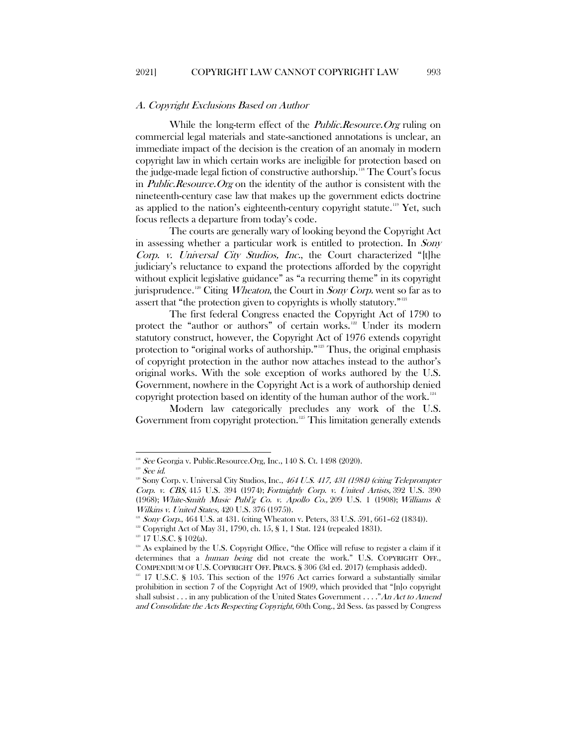#### <span id="page-17-0"></span>A. Copyright Exclusions Based on Author

While the long-term effect of the *Public.Resource.Org* ruling on commercial legal materials and state-sanctioned annotations is unclear, an immediate impact of the decision is the creation of an anomaly in modern copyright law in which certain works are ineligible for protection based on the judge-made legal fiction of constructive authorship.<sup>118</sup> The Court's focus in *Public.Resource.Org* on the identity of the author is consistent with the nineteenth-century case law that makes up the government edicts doctrine as applied to the nation's eighteenth-century copyright statute.<sup>[119](#page-17-2)</sup> Yet, such focus reflects a departure from today's code.

The courts are generally wary of looking beyond the Copyright Act in assessing whether a particular work is entitled to protection. In Sony Corp. v. Universal City Studios, Inc., the Court characterized "[t]he judiciary's reluctance to expand the protections afforded by the copyright without explicit legislative guidance" as "a recurring theme" in its copyright jurisprudence.<sup>[120](#page-17-3)</sup> Citing *Wheaton*, the Court in *Sony Corp*. went so far as to assert that "the protection given to copyrights is wholly statutory."<sup>[121](#page-17-4)</sup>

The first federal Congress enacted the Copyright Act of 1790 to protect the "author or authors" of certain works.<sup>[122](#page-17-5)</sup> Under its modern statutory construct, however, the Copyright Act of 1976 extends copyright protection to "original works of authorship."[123](#page-17-6) Thus, the original emphasis of copyright protection in the author now attaches instead to the author's original works. With the sole exception of works authored by the U.S. Government, nowhere in the Copyright Act is a work of authorship denied copyright protection based on identity of the human author of the work.[124](#page-17-7)

Modern law categorically precludes any work of the U.S. Government from copyright protection.<sup>[125](#page-17-8)</sup> This limitation generally extends

 $\overline{\phantom{a}}$ 

<span id="page-17-1"></span><sup>&</sup>lt;sup>118</sup> See Georgia v. Public.Resource.Org, Inc., 140 S. Ct. 1498 (2020).<br><sup>119</sup> See id.

<span id="page-17-3"></span><span id="page-17-2"></span>

<sup>&</sup>lt;sup>120</sup> Sony Corp. v. Universal City Studios, Inc., 464 U.S. 417, 431 (1984) (citing Teleprompter Corp. v. CBS, 415 U.S. 394 (1974); Fortnightly Corp. v. United Artists, 392 U.S. 390 (1968); White-Smith Music Publ'g Co. v. Apollo Co., 209 U.S. 1 (1908); Williams & Wilkins v. United States, 420 U.S. 376 (1975)).

<span id="page-17-4"></span> $121$  Sony Corp., 464 U.S. at 431. (citing Wheaton v. Peters, 33 U.S. 591, 661-62 (1834)).

<span id="page-17-6"></span><span id="page-17-5"></span><sup>&</sup>lt;sup>122</sup> Copyright Act of May 31, 1790, ch. 15, § 1, 1 Stat. 124 (repealed 1831). <sup>123</sup> 17 U.S.C. § 102(a).

<span id="page-17-7"></span><sup>&</sup>lt;sup>124</sup> As explained by the U.S. Copyright Office, "the Office will refuse to register a claim if it determines that a *human being* did not create the work." U.S. COPYRIGHT OFF., COMPENDIUM OF U.S. COPYRIGHT OFF. PRACS. § 306 (3d ed. 2017) (emphasis added).

<span id="page-17-8"></span><sup>&</sup>lt;sup>125</sup> 17 U.S.C. § 105. This section of the 1976 Act carries forward a substantially similar prohibition in section 7 of the Copyright Act of 1909, which provided that "[n]o copyright shall subsist  $\dots$  in any publication of the United States Government  $\dots$ ." An Act to Amend and Consolidate the Acts Respecting Copyright, 60th Cong., 2d Sess. (as passed by Congress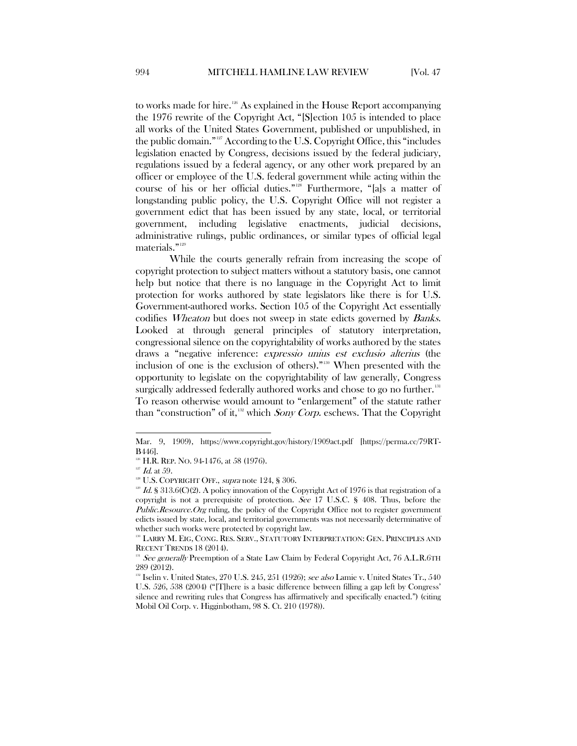to works made for hire.[126](#page-18-0) As explained in the House Report accompanying the 1976 rewrite of the Copyright Act, "[S]ection 105 is intended to place all works of the United States Government, published or unpublished, in the public domain."[127](#page-18-1) According to the U.S. Copyright Office, this "includes legislation enacted by Congress, decisions issued by the federal judiciary, regulations issued by a federal agency, or any other work prepared by an officer or employee of the U.S. federal government while acting within the course of his or her official duties."[128](#page-18-2) Furthermore, "[a]s a matter of longstanding public policy, the U.S. Copyright Office will not register a government edict that has been issued by any state, local, or territorial government, including legislative enactments, judicial decisions, administrative rulings, public ordinances, or similar types of official legal materials."[129](#page-18-3)

While the courts generally refrain from increasing the scope of copyright protection to subject matters without a statutory basis, one cannot help but notice that there is no language in the Copyright Act to limit protection for works authored by state legislators like there is for U.S. Government-authored works. Section 105 of the Copyright Act essentially codifies *Wheaton* but does not sweep in state edicts governed by *Banks*. Looked at through general principles of statutory interpretation, congressional silence on the copyrightability of works authored by the states draws a "negative inference: expressio unius est exclusio alterius (the inclusion of one is the exclusion of others)."[130](#page-18-4) When presented with the opportunity to legislate on the copyrightability of law generally, Congress surgically addressed federally authored works and chose to go no further.<sup>[131](#page-18-5)</sup> To reason otherwise would amount to "enlargement" of the statute rather than "construction" of it, $132$  which Sony Corp. eschews. That the Copyright

 $\overline{a}$ 

Mar. 9, 1909), https://www.copyright.gov/history/1909act.pdf [https://perma.cc/79RT-B446].

<span id="page-18-2"></span><span id="page-18-1"></span><span id="page-18-0"></span>

<sup>&</sup>lt;sup>126</sup> H.R. REP. NO. 94-1476, at 58 (1976).<br><sup>127</sup> *Id.* at 59. 128 U.S. COPYRIGHT OFF., *supra* note 124, § 306.

<span id="page-18-3"></span><sup>&</sup>lt;sup>129</sup> Id. § 313.6(C)(2). A policy innovation of the Copyright Act of 1976 is that registration of a copyright is not a prerequisite of protection. See 17 U.S.C. § 408. Thus, before the *Public.Resource.Org* ruling, the policy of the Copyright Office not to register government edicts issued by state, local, and territorial governments was not necessarily determinative of whether such works were protected by copyright law.

<span id="page-18-4"></span><sup>&</sup>lt;sup>130</sup> LARRY M. EIG, CONG. RES. SERV., STATUTORY INTERPRETATION: GEN. PRINCIPLES AND RECENT TRENDS 18 (2014).

<span id="page-18-5"></span>See generally Preemption of a State Law Claim by Federal Copyright Act, 76 A.L.R.6TH 289 (2012).

<span id="page-18-6"></span> $132$  Iselin v. United States, 270 U.S. 245, 251 (1926); see also Lamie v. United States Tr., 540 U.S. 526, 538 (2004) ("[T]here is a basic difference between filling a gap left by Congress' silence and rewriting rules that Congress has affirmatively and specifically enacted.") (citing Mobil Oil Corp. v. Higginbotham, 98 S. Ct. 210 (1978)).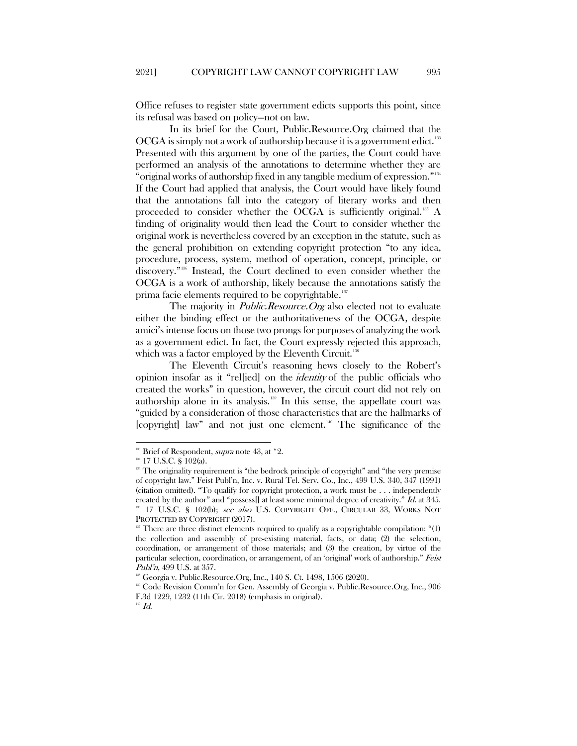Office refuses to register state government edicts supports this point, since its refusal was based on policy—not on law.

In its brief for the Court, Public.Resource.Org claimed that the OCGA is simply not a work of authorship because it is a government edict.[133](#page-19-0) Presented with this argument by one of the parties, the Court could have performed an analysis of the annotations to determine whether they are "original works of authorship fixed in any tangible medium of expression."[134](#page-19-1) If the Court had applied that analysis, the Court would have likely found that the annotations fall into the category of literary works and then proceeded to consider whether the OCGA is sufficiently original.<sup>[135](#page-19-2)</sup> A finding of originality would then lead the Court to consider whether the original work is nevertheless covered by an exception in the statute, such as the general prohibition on extending copyright protection "to any idea, procedure, process, system, method of operation, concept, principle, or discovery." [136](#page-19-3) Instead, the Court declined to even consider whether the OCGA is a work of authorship, likely because the annotations satisfy the prima facie elements required to be copyrightable.<sup>[137](#page-19-4)</sup>

The majority in *Public.Resource.Org* also elected not to evaluate either the binding effect or the authoritativeness of the OCGA, despite amici's intense focus on those two prongs for purposes of analyzing the work as a government edict. In fact, the Court expressly rejected this approach, which was a factor employed by the Eleventh Circuit.<sup>[138](#page-19-5)</sup>

The Eleventh Circuit's reasoning hews closely to the Robert's opinion insofar as it "rel[ied] on the identity of the public officials who created the works" in question, however, the circuit court did not rely on authorship alone in its analysis.[139](#page-19-6) In this sense, the appellate court was "guided by a consideration of those characteristics that are the hallmarks of  $[copyright]$  law" and not just one element.<sup>[140](#page-19-7)</sup> The significance of the

<span id="page-19-1"></span><span id="page-19-0"></span><sup>&</sup>lt;sup>133</sup> Brief of Respondent, *supra* note 43, at \*2.

 $^{134}$  17 U.S.C. § 102(a).

<span id="page-19-2"></span><sup>&</sup>lt;sup>135</sup> The originality requirement is "the bedrock principle of copyright" and "the very premise of copyright law." Feist Publ'n, Inc. v. Rural Tel. Serv. Co., Inc., 499 U.S. 340, 347 (1991) (citation omitted). "To qualify for copyright protection, a work must be . . . independently created by the author" and "possess. at least some minimal degree of creativity."  $Id$  at 345. <sup>136</sup> 17 U.S.C. § 102(b); see also U.S. COPYRIGHT OFF., CIRCULAR 33, WORKS NOT PROTECTED BY COPYRIGHT (2017).

<span id="page-19-4"></span><span id="page-19-3"></span>There are three distinct elements required to qualify as a copyrightable compilation: "(1) the collection and assembly of pre-existing material, facts, or data; (2) the selection, coordination, or arrangement of those materials; and (3) the creation, by virtue of the particular selection, coordination, or arrangement, of an 'original' work of authorship." Feist Publ'n, 499 U.S. at 357.

<sup>&</sup>lt;sup>138</sup> Georgia v. Public.Resource.Org, Inc., 140 S. Ct. 1498, 1506 (2020).

<span id="page-19-7"></span><span id="page-19-6"></span><span id="page-19-5"></span><sup>139</sup> Code Revision Comm'n for Gen. Assembly of Georgia v. Public.Resource.Org, Inc., 906 F.3d 1229, 1232 (11th Cir. 2018) (emphasis in original).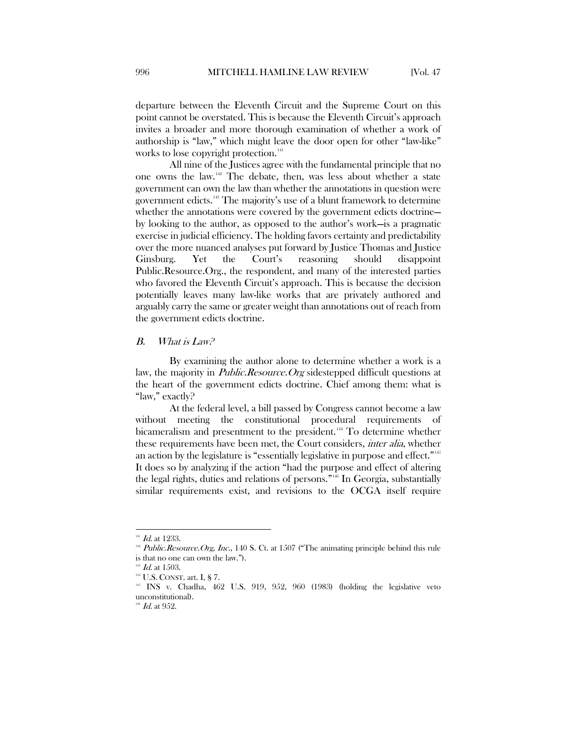departure between the Eleventh Circuit and the Supreme Court on this point cannot be overstated. This is because the Eleventh Circuit's approach invites a broader and more thorough examination of whether a work of authorship is "law," which might leave the door open for other "law-like" works to lose copyright protection.<sup>[141](#page-20-1)</sup>

All nine of the Justices agree with the fundamental principle that no one owns the law.[142](#page-20-2) The debate, then, was less about whether a state government can own the law than whether the annotations in question were government edicts.[143](#page-20-3) The majority's use of a blunt framework to determine whether the annotations were covered by the government edicts doctrine by looking to the author, as opposed to the author's work—is a pragmatic exercise in judicial efficiency. The holding favors certainty and predictability over the more nuanced analyses put forward by Justice Thomas and Justice Ginsburg. Yet the Court's reasoning should disappoint Public.Resource.Org., the respondent, and many of the interested parties who favored the Eleventh Circuit's approach. This is because the decision potentially leaves many law-like works that are privately authored and arguably carry the same or greater weight than annotations out of reach from the government edicts doctrine.

#### <span id="page-20-0"></span>B. What is Law?

By examining the author alone to determine whether a work is a law, the majority in *Public.Resource.Org* sidestepped difficult questions at the heart of the government edicts doctrine. Chief among them: what is "law," exactly?

At the federal level, a bill passed by Congress cannot become a law without meeting the constitutional procedural requirements of bicameralism and presentment to the president.<sup>[144](#page-20-4)</sup> To determine whether these requirements have been met, the Court considers, inter alia, whether an action by the legislature is "essentially legislative in purpose and effect."<sup>[145](#page-20-5)</sup> It does so by analyzing if the action "had the purpose and effect of altering the legal rights, duties and relations of persons." [146](#page-20-6) In Georgia, substantially similar requirements exist, and revisions to the OCGA itself require

 $141$  Id. at 1233.

<span id="page-20-2"></span><span id="page-20-1"></span> $142$  Public. Resource. Org, Inc., 140 S. Ct. at 1507 ("The animating principle behind this rule is that no one can own the law.").

 $1d.$  at 1503.

<span id="page-20-3"></span><sup>&</sup>lt;sup>144</sup> U.S. CONST. art. I, § 7.

<span id="page-20-5"></span><span id="page-20-4"></span><sup>&</sup>lt;sup>145</sup> INS v. Chadha, 462 U.S. 919, 952, 960 (1983) (holding the legislative veto unconstitutional).

<span id="page-20-6"></span> $^{146}$  *Id.* at 952.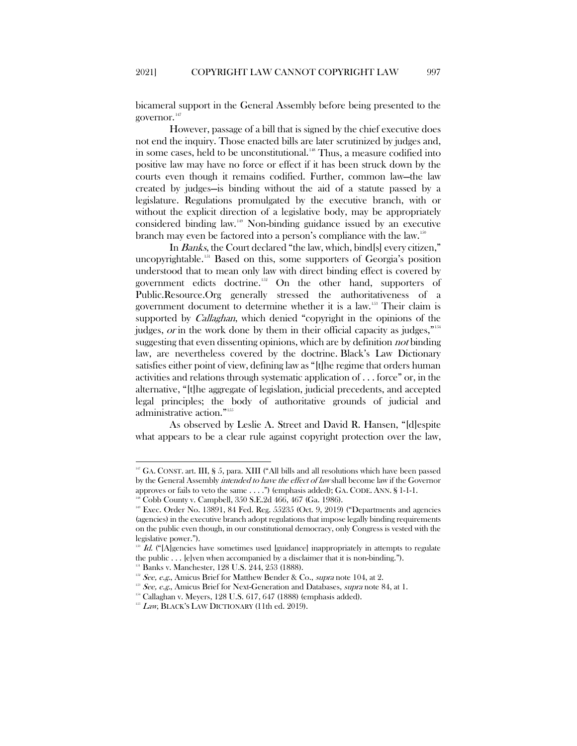bicameral support in the General Assembly before being presented to the governor.<sup>[147](#page-21-0)</sup>

However, passage of a bill that is signed by the chief executive does not end the inquiry. Those enacted bills are later scrutinized by judges and, in some cases, held to be unconstitutional.<sup>[148](#page-21-1)</sup> Thus, a measure codified into positive law may have no force or effect if it has been struck down by the courts even though it remains codified. Further, common law—the law created by judges—is binding without the aid of a statute passed by a legislature. Regulations promulgated by the executive branch, with or without the explicit direction of a legislative body, may be appropriately considered binding law.[149](#page-21-2) Non-binding guidance issued by an executive branch may even be factored into a person's compliance with the law.[150](#page-21-3)

In Banks, the Court declared "the law, which, bind[s] every citizen," uncopyrightable.<sup>[151](#page-21-4)</sup> Based on this, some supporters of Georgia's position understood that to mean only law with direct binding effect is covered by government edicts doctrine.[152](#page-21-5) On the other hand, supporters of Public.Resource.Org generally stressed the authoritativeness of a government document to determine whether it is a law.[153](#page-21-6) Their claim is supported by *Callaghan*, which denied "copyright in the opinions of the judges, or in the work done by them in their official capacity as judges,"[154](#page-21-7) suggesting that even dissenting opinions, which are by definition not binding law, are nevertheless covered by the doctrine. Black's Law Dictionary satisfies either point of view, defining law as "[t]he regime that orders human activities and relations through systematic application of . . . force" or, in the alternative, "[t]he aggregate of legislation, judicial precedents, and accepted legal principles; the body of authoritative grounds of judicial and administrative action."<sup>[155](#page-21-8)</sup>

As observed by Leslie A. Street and David R. Hansen, "[d]espite what appears to be a clear rule against copyright protection over the law,

<span id="page-21-0"></span> $147$  GA. CONST. art. III, § 5, para. XIII ("All bills and all resolutions which have been passed by the General Assembly intended to have the effect of law shall become law if the Governor approves or fails to veto the same  $\dots$ .") (emphasis added); GA. CODE. ANN. § 1-1-1.

<span id="page-21-2"></span><span id="page-21-1"></span><sup>&</sup>lt;sup>148</sup> Cobb County v. Campbell, 350 S.E.2d 466, 467 (Ga. 1986).<br><sup>149</sup> Exec. Order No. 13891, 84 Fed. Reg. 55235 (Oct. 9, 2019) ("Departments and agencies (agencies) in the executive branch adopt regulations that impose legally binding requirements on the public even though, in our constitutional democracy, only Congress is vested with the legislative power.").

<span id="page-21-3"></span> $150$  Id. ("[A]gencies have sometimes used [guidance] inappropriately in attempts to regulate the public . . . [e]ven when accompanied by a disclaimer that it is non-binding.").

Banks v. Manchester, 128 U.S. 244, 253 (1888).

<span id="page-21-4"></span> $152$  See, e.g., Amicus Brief for Matthew Bender & Co., supra note 104, at 2.

<span id="page-21-6"></span><span id="page-21-5"></span> $1^{15}$  See, e.g., Amicus Brief for Next-Generation and Databases, supra note 84, at 1.

<span id="page-21-7"></span><sup>154</sup> Callaghan v. Meyers, 128 U.S. 617, 647 (1888) (emphasis added).

<span id="page-21-8"></span><sup>155</sup> Law, BLACK'S LAW DICTIONARY (11th ed. 2019).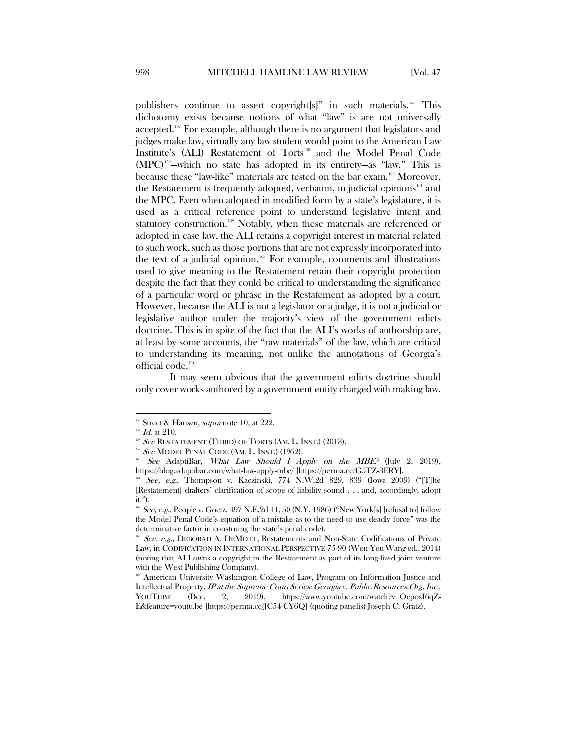publishers continue to assert copyright[s]" in such materials.<sup>156</sup> This dichotomy exists because notions of what "law" is are not universally accepted.<sup>[157](#page-22-1)</sup> For example, although there is no argument that legislators and judges make law, virtually any law student would point to the American Law Institute's (ALI) Restatement of Torts<sup>[158](#page-22-2)</sup> and the Model Penal Code (MPC[\)159](#page-22-3) —which no state has adopted in its entirety—as "law." This is because these "law-like" materials are tested on the bar exam.<sup>160</sup> Moreover, the Restatement is frequently adopted, verbatim, in judicial opinions [161](#page-22-5) and the MPC. Even when adopted in modified form by a state's legislature, it is used as a critical reference point to understand legislative intent and statutory construction.<sup>[162](#page-22-6)</sup> Notably, when these materials are referenced or adopted in case law, the ALI retains a copyright interest in material related to such work, such as those portions that are not expressly incorporated into the text of a judicial opinion.<sup>[163](#page-22-7)</sup> For example, comments and illustrations used to give meaning to the Restatement retain their copyright protection despite the fact that they could be critical to understanding the significance of a particular word or phrase in the Restatement as adopted by a court. However, because the ALI is not a legislator or a judge, it is not a judicial or legislative author under the majority's view of the government edicts doctrine. This is in spite of the fact that the ALI's works of authorship are, at least by some accounts, the "raw materials" of the law, which are critical to understanding its meaning, not unlike the annotations of Georgia's official code.[164](#page-22-8)

It may seem obvious that the government edicts doctrine should only cover works authored by a government entity charged with making law.

<sup>156</sup> Street & Hansen, *supra* note 10, at 222.

 $^{157}$  *Id.* at 210.

<span id="page-22-3"></span><span id="page-22-2"></span><span id="page-22-1"></span><span id="page-22-0"></span> $158$  See RESTATEMENT (THIRD) OF TORTS (AM. L. INST.) (2013).

 $159$  See MODEL PENAL CODE (AM. L. INST.) (1962).

<span id="page-22-4"></span><sup>&</sup>lt;sup>160</sup> See AdaptiBar, *What Law Should I Apply on the MBE?* (July 2, 2019), https://blog.adaptibar.com/what-law-apply-mbe/ [https://perma.cc/G5TZ-3ERY].

<span id="page-22-5"></span><sup>&</sup>lt;sup>161</sup> See, e.g., Thompson v. Kaczinski, 774 N.W.2d 829, 839 (Iowa 2009) ("[T]he [Restatement] drafters' clarification of scope of liability sound . . . and, accordingly, adopt it.").

<span id="page-22-6"></span> $162$  See, e.g., People v. Goetz, 497 N.E.2d 41, 50 (N.Y. 1986) ("New York[s] [refusal to] follow the Model Penal Code's equation of a mistake as to the need to use deadly force" was the determinative factor in construing the state's penal code).

<span id="page-22-7"></span> $163$  See, e.g., DEBORAH A. DEMOTT, Restatements and Non-State Codifications of Private Law, in CODIFICATION IN INTERNATIONAL PERSPECTIVE 75-90 (Wen-Yeu Wang ed., 2014) (noting that ALI owns a copyright in the Restatement as part of its long-lived joint venture with the West Publishing Company).

<span id="page-22-8"></span><sup>&</sup>lt;sup>164</sup> American University Washington College of Law, Program on Information Justice and Intellectual Property, IP at the Supreme Court Series: Georgia v. Public.Resources.Org, Inc., YOUTUBE (Dec. 2, 2019), https://www.youtube.com/watch?v=OcposI6qZ-E&feature=youtu.be [https://perma.cc/JC54-CY6Q] (quoting panelist Joseph C. Gratz).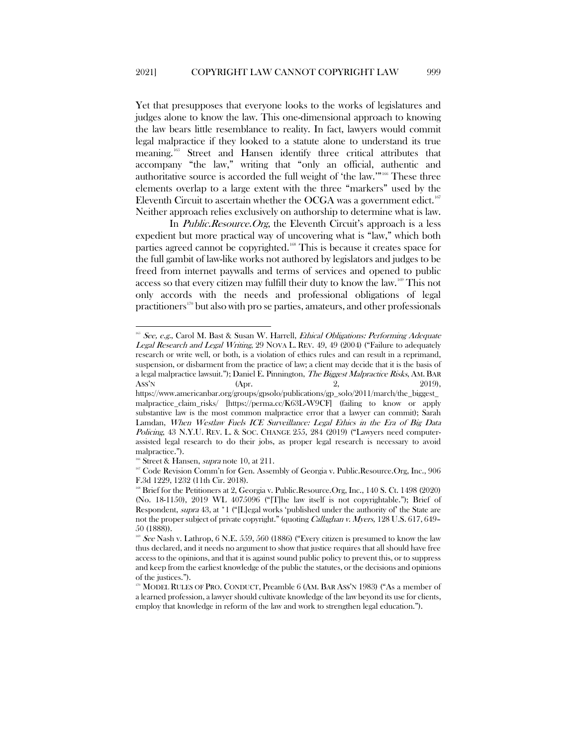Yet that presupposes that everyone looks to the works of legislatures and judges alone to know the law. This one-dimensional approach to knowing the law bears little resemblance to reality. In fact, lawyers would commit legal malpractice if they looked to a statute alone to understand its true meaning.[165](#page-23-0) Street and Hansen identify three critical attributes that accompany "the law," writing that "only an official, authentic and authoritative source is accorded the full weight of 'the law.'"[166](#page-23-1) These three elements overlap to a large extent with the three "markers" used by the Eleventh Circuit to ascertain whether the OCGA was a government edict.  $^{167}$  $^{167}$  $^{167}$ Neither approach relies exclusively on authorship to determine what is law.

In *Public.Resource.Org*, the Eleventh Circuit's approach is a less expedient but more practical way of uncovering what is "law," which both parties agreed cannot be copyrighted.[168](#page-23-3) This is because it creates space for the full gambit of law-like works not authored by legislators and judges to be freed from internet paywalls and terms of services and opened to public access so that every citizen may fulfill their duty to know the law. [169](#page-23-4) This not only accords with the needs and professional obligations of legal practitioners<sup>170</sup> but also with pro se parties, amateurs, and other professionals

<span id="page-23-0"></span> $165$  See, e.g., Carol M. Bast & Susan W. Harrell, *Ethical Obligations: Performing Adequate* Legal Research and Legal Writing, 29 NOVA L. REV. 49, 49 (2004) ("Failure to adequately research or write well, or both, is a violation of ethics rules and can result in a reprimand, suspension, or disbarment from the practice of law; a client may decide that it is the basis of a legal malpractice lawsuit."); Daniel E. Pinnington, *The Biggest Malpractice Risks*, AM. BAR<br>ASS'N (Apr. 2019). Ass'N (Apr. 2019),

https://www.americanbar.org/groups/gpsolo/publications/gp\_solo/2011/march/the\_biggest\_ malpractice\_claim\_risks/ [https://perma.cc/K63L-W9CF] (failing to know or apply substantive law is the most common malpractice error that a lawyer can commit); Sarah Lamdan, When Westlaw Fuels ICE Surveillance: Legal Ethics in the Era of Big Data Policing, 43 N.Y.U. REV. L. & SOC. CHANGE 255, 284 (2019) ("Lawyers need computerassisted legal research to do their jobs, as proper legal research is necessary to avoid malpractice.").

Street & Hansen, *supra* note 10, at 211.

<span id="page-23-2"></span><span id="page-23-1"></span><sup>&</sup>lt;sup>167</sup> Code Revision Comm'n for Gen. Assembly of Georgia v. Public.Resource.Org, Inc., 906 F.3d 1229, 1232 (11th Cir. 2018).

<span id="page-23-3"></span><sup>&</sup>lt;sup>168</sup> Brief for the Petitioners at 2, Georgia v. Public.Resource.Org, Inc., 140 S. Ct. 1498 (2020) (No. 18-1150), 2019 WL 4075096 ("[T]he law itself is not copyrightable."); Brief of Respondent, supra 43, at  $*1$  ("[L]egal works 'published under the authority of' the State are not the proper subject of private copyright." (quoting *Callaghan v. Myers*, 128 U.S. 617, 649– 50 (1888)).

<span id="page-23-4"></span><sup>&</sup>lt;sup>169</sup> See Nash v. Lathrop, 6 N.E. 559, 560 (1886) ("Every citizen is presumed to know the law thus declared, and it needs no argument to show that justice requires that all should have free access to the opinions, and that it is against sound public policy to prevent this, or to suppress and keep from the earliest knowledge of the public the statutes, or the decisions and opinions of the justices.").

<span id="page-23-5"></span><sup>&</sup>lt;sup>3</sup> MODEL RULES OF PRO. CONDUCT, Preamble 6 (AM. BAR ASS'N 1983) ("As a member of a learned profession, a lawyer should cultivate knowledge of the law beyond its use for clients, employ that knowledge in reform of the law and work to strengthen legal education.").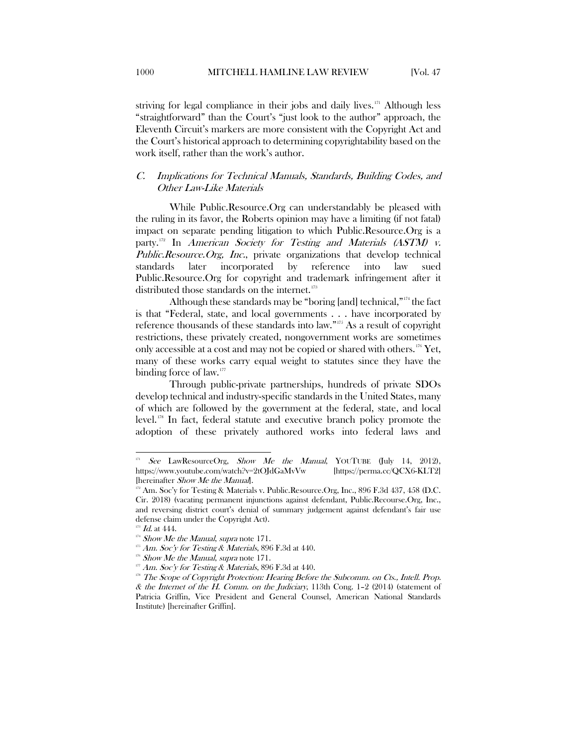striving for legal compliance in their jobs and daily lives. $171$  Although less "straightforward" than the Court's "just look to the author" approach, the Eleventh Circuit's markers are more consistent with the Copyright Act and the Court's historical approach to determining copyrightability based on the work itself, rather than the work's author.

# <span id="page-24-0"></span>C. Implications for Technical Manuals, Standards, Building Codes, and Other Law-Like Materials

While Public.Resource.Org can understandably be pleased with the ruling in its favor, the Roberts opinion may have a limiting (if not fatal) impact on separate pending litigation to which Public.Resource.Org is a party.<sup>[172](#page-24-2)</sup> In American Society for Testing and Materials (ASTM) v. Public.Resource.Org, Inc., private organizations that develop technical standards later incorporated by reference into law sued Public.Resource.Org for copyright and trademark infringement after it distributed those standards on the internet.<sup>[173](#page-24-3)</sup>

Although these standards may be "boring [and] technical," $174$  the fact is that "Federal, state, and local governments . . . have incorporated by reference thousands of these standards into law."[175](#page-24-5) As a result of copyright restrictions, these privately created, nongovernment works are sometimes only accessible at a cost and may not be copied or shared with others.[176](#page-24-6) Yet, many of these works carry equal weight to statutes since they have the binding force of law.<sup>[177](#page-24-7)</sup>

Through public-private partnerships, hundreds of private SDOs develop technical and industry-specific standards in the United States, many of which are followed by the government at the federal, state, and local level.<sup>[178](#page-24-8)</sup> In fact, federal statute and executive branch policy promote the adoption of these privately authored works into federal laws and

<span id="page-24-1"></span>See LawResourceOrg, Show Me the Manual, YOUTUBE (July 14, 2012),<br>
00110158://www.youtube.com/watch?v=2tOJdGaMvVw [https://perma.cc/QCX6-KLT2] https://www.youtube.com/watch?v=2tOJdGaMvVw [hereinafter Show Me the Manual].

<span id="page-24-2"></span><sup>&</sup>lt;sup>172</sup> Am. Soc'y for Testing & Materials v. Public.Resource.Org, Inc., 896 F.3d 437, 458 (D.C. Cir. 2018) (vacating permanent injunctions against defendant, Public.Recourse.Org, Inc., and reversing district court's denial of summary judgement against defendant's fair use defense claim under the Copyright Act).

<span id="page-24-3"></span> $^{173}$  Id. at 444.

<span id="page-24-5"></span><span id="page-24-4"></span> $174$  Show Me the Manual, supra note 171.

 $175$  Am. Soc'y for Testing & Materials, 896 F.3d at 440.

<span id="page-24-6"></span>Show Me the Manual, supra note 171.

Am. Soc'y for Testing & Materials, 896 F.3d at 440.

<span id="page-24-8"></span><span id="page-24-7"></span><sup>&</sup>lt;sup>178</sup> The Scope of Copyright Protection: Hearing Before the Subcomm. on Cts., Intell. Prop. & the Internet of the H. Comm. on the Judiciary, 113th Cong.  $1-2$  (2014) (statement of Patricia Griffin, Vice President and General Counsel, American National Standards Institute) [hereinafter Griffin].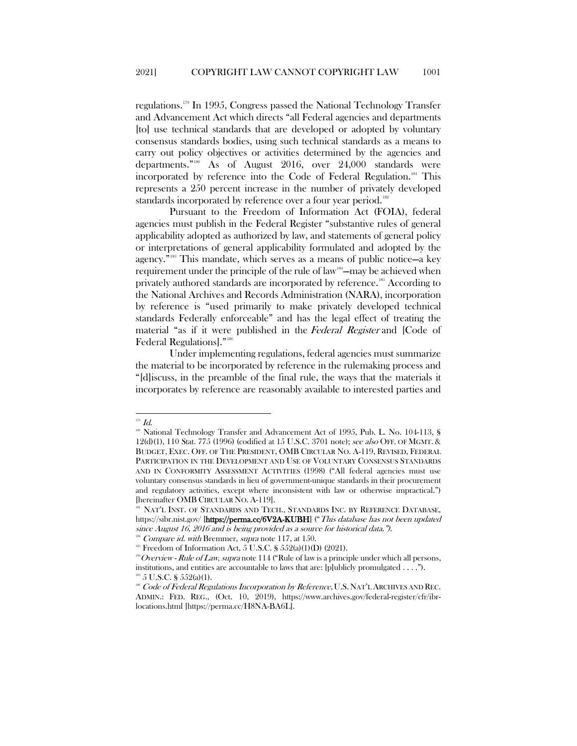regulations.[179](#page-25-0) In 1995, Congress passed the National Technology Transfer and Advancement Act which directs "all Federal agencies and departments [to] use technical standards that are developed or adopted by voluntary consensus standards bodies, using such technical standards as a means to carry out policy objectives or activities determined by the agencies and departments."[180](#page-25-1) As of August 2016, over 24,000 standards were incorporated by reference into the Code of Federal Regulation.<sup>181</sup> This represents a 250 percent increase in the number of privately developed standards incorporated by reference over a four year period.<sup>[182](#page-25-3)</sup>

Pursuant to the Freedom of Information Act (FOIA), federal agencies must publish in the Federal Register "substantive rules of general applicability adopted as authorized by law, and statements of general policy or interpretations of general applicability formulated and adopted by the agency."[183](#page-25-4) This mandate, which serves as a means of public notice—a key requirement under the principle of the rule of law<sup>[184](#page-25-5)</sup>—may be achieved when privately authored standards are incorporated by reference.<sup>[185](#page-25-6)</sup> According to the National Archives and Records Administration (NARA), incorporation by reference is "used primarily to make privately developed technical standards Federally enforceable" and has the legal effect of treating the material "as if it were published in the Federal Register and [Code of Federal Regulations]."[186](#page-25-7)

Under implementing regulations, federal agencies must summarize the material to be incorporated by reference in the rulemaking process and "[d]iscuss, in the preamble of the final rule, the ways that the materials it incorporates by reference are reasonably available to interested parties and

<span id="page-25-0"></span> $^{179}$   $\emph{Id.}$ 

<span id="page-25-1"></span><sup>&</sup>lt;sup>180</sup> National Technology Transfer and Advancement Act of 1995, Pub. L. No. 104-113, § 12(d)(1), 110 Stat. 775 (1996) (codified at 15 U.S.C. 3701 note); see also OFF. OF MGMT. & BUDGET, EXEC. OFF. OF THE PRESIDENT, OMB CIRCULAR NO. A-119, REVISED, FEDERAL PARTICIPATION IN THE DEVELOPMENT AND USE OF VOLUNTARY CONSENSUS STANDARDS AND IN CONFORMITY ASSESSMENT ACTIVITIES (1998) ("All federal agencies must use voluntary consensus standards in lieu of government-unique standards in their procurement and regulatory activities, except where inconsistent with law or otherwise impractical.") [hereinafter OMB CIRCULAR NO. A-119].

<span id="page-25-2"></span><sup>&</sup>lt;sup>181</sup> NAT'L INST. OF STANDARDS AND TECH., STANDARDS INC. BY REFERENCE DATABASE, https://sibr.nist.gov/ [https://perma.cc/6V2A-KUBH] ("This database has not been updated since August 16, 2016 and is being provided as a source for historical data.").<br><sup>182</sup> Compare id. with Bremmer, supra note 117, at 150.

<span id="page-25-3"></span>

 $183$  Freedom of Information Act, 5 U.S.C. § 552(a)(1)(D) (2021).

<span id="page-25-5"></span><span id="page-25-4"></span> $184$  Overview - Rule of Law, supra note 114 ("Rule of law is a principle under which all persons, institutions, and entities are accountable to laws that are: [p]ublicly promulgated . . . .").  $5 \text{ U.S.C. }$ § 552(a)(1).

<span id="page-25-7"></span><span id="page-25-6"></span><sup>186</sup> Code of Federal Regulations Incorporation by Reference, U.S. NAT'L ARCHIVES AND REC. ADMIN.: FED. REG., (Oct. 10, 2019), https://www.archives.gov/federal-register/cfr/ibrlocations.html [https://perma.cc/H8NA-BA6L].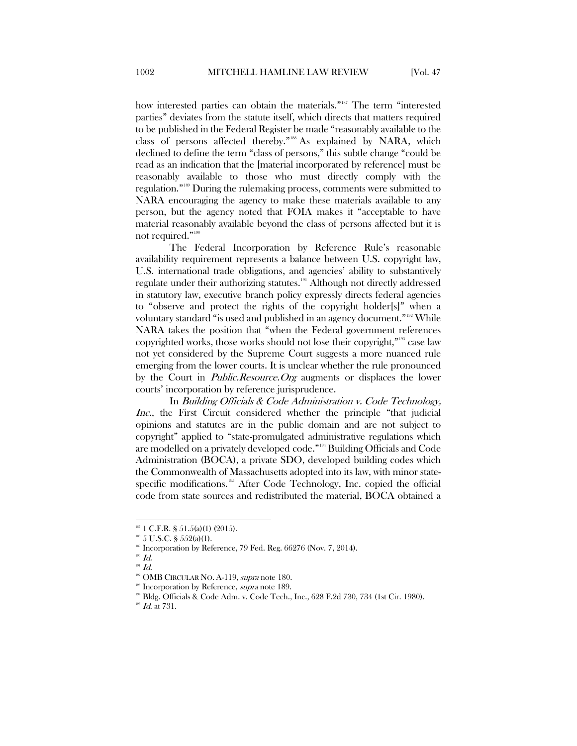how interested parties can obtain the materials."<sup>187</sup> The term "interested parties" deviates from the statute itself, which directs that matters required to be published in the Federal Register be made "reasonably available to the class of persons affected thereby."[188](#page-26-1) As explained by NARA, which declined to define the term "class of persons," this subtle change "could be read as an indication that the [material incorporated by reference] must be reasonably available to those who must directly comply with the regulation."[189](#page-26-2) During the rulemaking process, comments were submitted to NARA encouraging the agency to make these materials available to any person, but the agency noted that FOIA makes it "acceptable to have material reasonably available beyond the class of persons affected but it is not required."<sup>[190](#page-26-3)</sup>

The Federal Incorporation by Reference Rule's reasonable availability requirement represents a balance between U.S. copyright law, U.S. international trade obligations, and agencies' ability to substantively regulate under their authorizing statutes.<sup>[191](#page-26-4)</sup> Although not directly addressed in statutory law, executive branch policy expressly directs federal agencies to "observe and protect the rights of the copyright holder[s]" when a voluntary standard "is used and published in an agency document."[192](#page-26-5) While NARA takes the position that "when the Federal government references copyrighted works, those works should not lose their copyright,"[193](#page-26-6) case law not yet considered by the Supreme Court suggests a more nuanced rule emerging from the lower courts. It is unclear whether the rule pronounced by the Court in Public.Resource.Org augments or displaces the lower courts' incorporation by reference jurisprudence.

In Building Officials & Code Administration v. Code Technology, Inc., the First Circuit considered whether the principle "that judicial opinions and statutes are in the public domain and are not subject to copyright" applied to "state-promulgated administrative regulations which are modelled on a privately developed code."[194](#page-26-7) Building Officials and Code Administration (BOCA), a private SDO, developed building codes which the Commonwealth of Massachusetts adopted into its law, with minor state-specific modifications.<sup>[195](#page-26-8)</sup> After Code Technology, Inc. copied the official code from state sources and redistributed the material, BOCA obtained a

<span id="page-26-0"></span> $187$  1 C.F.R. § 51.5(a)(1) (2015).

 $188$  5 U.S.C. §  $552(a)(1)$ .

<span id="page-26-2"></span><span id="page-26-1"></span><sup>189</sup> Incorporation by Reference, 79 Fed. Reg. 66276 (Nov. 7, 2014).

<span id="page-26-3"></span> $^{190}$   $Id.$ 

<span id="page-26-5"></span><span id="page-26-4"></span> $191$  Id.

<span id="page-26-6"></span><sup>&</sup>lt;sup>192</sup> OMB CIRCULAR NO. A-119, *supra* note 180.

Incorporation by Reference, *supra* note 189.

<span id="page-26-7"></span><sup>&</sup>lt;sup>194</sup> Bldg. Officials & Code Adm. v. Code Tech., Inc., 628 F.2d 730, 734 (1st Cir. 1980).

<span id="page-26-8"></span> $^{195}$  *Id.* at 731.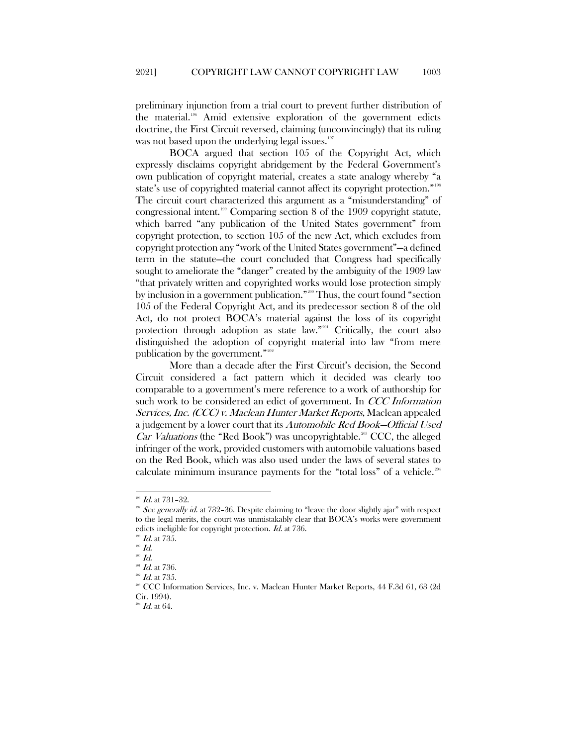preliminary injunction from a trial court to prevent further distribution of the material.<sup>196</sup> Amid extensive exploration of the government edicts doctrine, the First Circuit reversed, claiming (unconvincingly) that its ruling was not based upon the underlying legal issues. $197$ 

BOCA argued that section 105 of the Copyright Act, which expressly disclaims copyright abridgement by the Federal Government's own publication of copyright material, creates a state analogy whereby "a state's use of copyrighted material cannot affect its copyright protection."<sup>[198](#page-27-2)</sup> The circuit court characterized this argument as a "misunderstanding" of congressional intent.[199](#page-27-3) Comparing section 8 of the 1909 copyright statute, which barred "any publication of the United States government" from copyright protection, to section 105 of the new Act, which excludes from copyright protection any "work of the United States government"—a defined term in the statute—the court concluded that Congress had specifically sought to ameliorate the "danger" created by the ambiguity of the 1909 law "that privately written and copyrighted works would lose protection simply by inclusion in a government publication."<sup>[200](#page-27-4)</sup> Thus, the court found "section 105 of the Federal Copyright Act, and its predecessor section 8 of the old Act, do not protect BOCA's material against the loss of its copyright protection through adoption as state law."[201](#page-27-5) Critically, the court also distinguished the adoption of copyright material into law "from mere publication by the government."<sup>[202](#page-27-6)</sup>

More than a decade after the First Circuit's decision, the Second Circuit considered a fact pattern which it decided was clearly too comparable to a government's mere reference to a work of authorship for such work to be considered an edict of government. In *CCC Information* Services, Inc. (CCC) v. Maclean Hunter Market Reports, Maclean appealed a judgement by a lower court that its Automobile Red Book—Official Used *Car Valuations* (the "Red Book") was uncopyrightable.<sup>[203](#page-27-7)</sup> CCC, the alleged infringer of the work, provided customers with automobile valuations based on the Red Book, which was also used under the laws of several states to calculate minimum insurance payments for the "total loss" of a vehicle.<sup>[204](#page-27-8)</sup>

<span id="page-27-0"></span> $^{196}$  *Id.* at 731-32.

<span id="page-27-1"></span><sup>&</sup>lt;sup>197</sup> See generally id. at 732–36. Despite claiming to "leave the door slightly ajar" with respect to the legal merits, the court was unmistakably clear that BOCA's works were government edicts ineligible for copyright protection. Id. at 736.

 $10^{198}$  *Id.* at 735.

<span id="page-27-2"></span> $^{199}$   $Id.$ 

<span id="page-27-4"></span><span id="page-27-3"></span> $^{200}$   $Id.$ 

<span id="page-27-5"></span> $^{201}$  *Id.* at 736.

<span id="page-27-7"></span><span id="page-27-6"></span> $^{202}$  *Id.* at 735.

<sup>203</sup> CCC Information Services, Inc. v. Maclean Hunter Market Reports, 44 F.3d 61, 63 (2d Cir. 1994).

<span id="page-27-8"></span> $^{204}$  *Id.* at 64.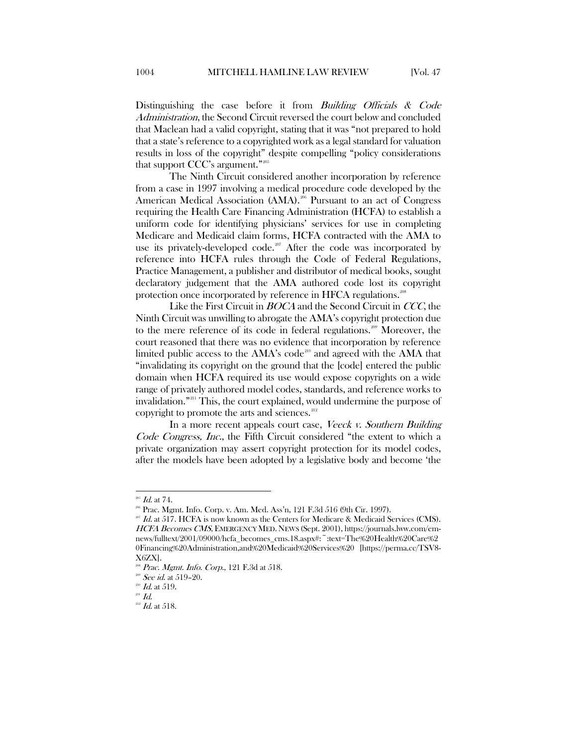Distinguishing the case before it from *Building Officials & Code* Administration, the Second Circuit reversed the court below and concluded that Maclean had a valid copyright, stating that it was "not prepared to hold that a state's reference to a copyrighted work as a legal standard for valuation results in loss of the copyright" despite compelling "policy considerations that support CCC's argument."[205](#page-28-0)

The Ninth Circuit considered another incorporation by reference from a case in 1997 involving a medical procedure code developed by the American Medical Association (AMA).<sup>[206](#page-28-1)</sup> Pursuant to an act of Congress requiring the Health Care Financing Administration (HCFA) to establish a uniform code for identifying physicians' services for use in completing Medicare and Medicaid claim forms, HCFA contracted with the AMA to use its privately-developed code.<sup>[207](#page-28-2)</sup> After the code was incorporated by reference into HCFA rules through the Code of Federal Regulations, Practice Management, a publisher and distributor of medical books, sought declaratory judgement that the AMA authored code lost its copyright protection once incorporated by reference in HFCA regulations.<sup>[208](#page-28-3)</sup>

Like the First Circuit in *BOCA* and the Second Circuit in *CCC*, the Ninth Circuit was unwilling to abrogate the AMA's copyright protection due to the mere reference of its code in federal regulations.<sup>[209](#page-28-4)</sup> Moreover, the court reasoned that there was no evidence that incorporation by reference limited public access to the  $AMA's code<sup>210</sup>$  $AMA's code<sup>210</sup>$  $AMA's code<sup>210</sup>$  and agreed with the  $AMA$  that "invalidating its copyright on the ground that the [code] entered the public domain when HCFA required its use would expose copyrights on a wide range of privately authored model codes, standards, and reference works to invalidation."[211](#page-28-6) This, the court explained, would undermine the purpose of copyright to promote the arts and sciences.<sup>[212](#page-28-7)</sup>

In a more recent appeals court case, Veeck v. Southern Building Code Congress, Inc., the Fifth Circuit considered "the extent to which a private organization may assert copyright protection for its model codes, after the models have been adopted by a legislative body and become 'the

 $^{205}$  *Id.* at 74.

<sup>206</sup> Prac. Mgmt. Info. Corp. v. Am. Med. Ass'n, 121 F.3d 516 (9th Cir. 1997).

<span id="page-28-2"></span><span id="page-28-1"></span><span id="page-28-0"></span> $207$  Id. at 517. HCFA is now known as the Centers for Medicare & Medicaid Services (CMS). HCFA Becomes CMS, EMERGENCY MED. NEWS (Sept. 2001), https://journals.lww.com/emnews/fulltext/2001/09000/hcfa\_becomes\_cms.18.aspx#:~:text=The%20Health%20Care%2 0Financing%20Administration,and%20Medicaid%20Services%20 [https://perma.cc/TSV8- X6ZX].

Prac. Mgmt. Info. Corp., 121 F.3d at 518.

<span id="page-28-6"></span><span id="page-28-5"></span><span id="page-28-4"></span><span id="page-28-3"></span> $209$  *See id.* at 519-20.

 $^{210}$  Id. at 519.

<span id="page-28-7"></span> $^{211}$  Id.

 $^{212}$  Id. at 518.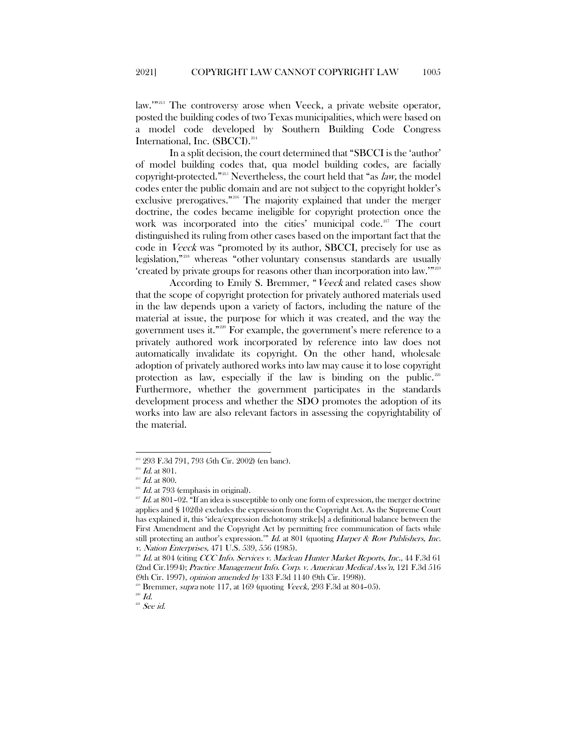law."<sup>[213](#page-29-0)</sup> The controversy arose when Veeck, a private website operator, posted the building codes of two Texas municipalities, which were based on a model code developed by Southern Building Code Congress International, Inc. (SBCCI).<sup>214</sup>

In a split decision, the court determined that "SBCCI is the 'author' of model building codes that, qua model building codes, are facially copyright-protected."[215](#page-29-2) Nevertheless, the court held that "as law, the model codes enter the public domain and are not subject to the copyright holder's exclusive prerogatives."<sup>[216](#page-29-3)</sup> The majority explained that under the merger doctrine, the codes became ineligible for copyright protection once the work was incorporated into the cities' municipal code.<sup>[217](#page-29-4)</sup> The court distinguished its ruling from other cases based on the important fact that the code in Veeck was "promoted by its author, SBCCI, precisely for use as legislation,"[218](#page-29-5) whereas "other voluntary consensus standards are usually 'created by private groups for reasons other than incorporation into law.'"[219](#page-29-6)

According to Emily S. Bremmer, "Veeck and related cases show that the scope of copyright protection for privately authored materials used in the law depends upon a variety of factors, including the nature of the material at issue, the purpose for which it was created, and the way the government uses it."[220](#page-29-7) For example, the government's mere reference to a privately authored work incorporated by reference into law does not automatically invalidate its copyright. On the other hand, wholesale adoption of privately authored works into law may cause it to lose copyright protection as law, especially if the law is binding on the public. $221$ Furthermore, whether the government participates in the standards development process and whether the SDO promotes the adoption of its works into law are also relevant factors in assessing the copyrightability of the material.

 <sup>213</sup> 293 F.3d 791, 793 (5th Cir. 2002) (en banc).

<span id="page-29-2"></span><span id="page-29-1"></span><span id="page-29-0"></span><sup>&</sup>lt;sup>214</sup> *Id.* at 801.<br><sup>215</sup> *Id.* at 800.

 $^{216}$  *Id.* at 793 (emphasis in original).

<span id="page-29-4"></span><span id="page-29-3"></span> $217$  Id. at 801–02. "If an idea is susceptible to only one form of expression, the merger doctrine applies and § 102(b) excludes the expression from the Copyright Act. As the Supreme Court has explained it, this 'idea/expression dichotomy strike[s] a definitional balance between the First Amendment and the Copyright Act by permitting free communication of facts while still protecting an author's expression.'" Id. at 801 (quoting Harper & Row Publishers, Inc. v. Nation Enterprises, 471 U.S. 539, 556 (1985).

<span id="page-29-5"></span><sup>&</sup>lt;sup>218</sup> Id. at 804 (citing CCC Info. Services v. Maclean Hunter Market Reports, Inc., 44 F.3d 61 (2nd Cir.1994); Practice Management Info. Corp. v. American Medical Ass'n, 121 F.3d 516 (9th Cir. 1997), opinion amended by 133 F.3d 1140 (9th Cir. 1998)).

 $219$  Bremmer, *supra* note 117, at 169 (quoting *Veeck*, 293 F.3d at 804–05).

<span id="page-29-8"></span><span id="page-29-7"></span><span id="page-29-6"></span> $^{220}$  Id.

 $221$  See id.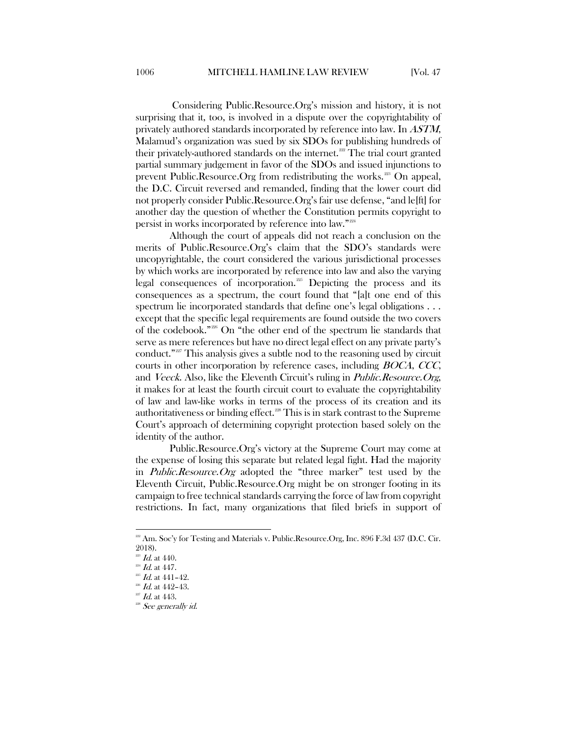Considering Public.Resource.Org's mission and history, it is not surprising that it, too, is involved in a dispute over the copyrightability of privately authored standards incorporated by reference into law. In ASTM, Malamud's organization was sued by six SDOs for publishing hundreds of their privately-authored standards on the internet.<sup>[222](#page-30-0)</sup> The trial court granted partial summary judgement in favor of the SDOs and issued injunctions to prevent Public.Resource.Org from redistributing the works.<sup>[223](#page-30-1)</sup> On appeal, the D.C. Circuit reversed and remanded, finding that the lower court did not properly consider Public.Resource.Org's fair use defense, "and le[ft] for another day the question of whether the Constitution permits copyright to persist in works incorporated by reference into law."[224](#page-30-2)

Although the court of appeals did not reach a conclusion on the merits of Public.Resource.Org's claim that the SDO's standards were uncopyrightable, the court considered the various jurisdictional processes by which works are incorporated by reference into law and also the varying legal consequences of incorporation.<sup>[225](#page-30-3)</sup> Depicting the process and its consequences as a spectrum, the court found that "[a]t one end of this spectrum lie incorporated standards that define one's legal obligations . . . except that the specific legal requirements are found outside the two covers of the codebook."[226](#page-30-4) On "the other end of the spectrum lie standards that serve as mere references but have no direct legal effect on any private party's conduct."<sup>227</sup> This analysis gives a subtle nod to the reasoning used by circuit courts in other incorporation by reference cases, including BOCA, CCC, and *Veeck*. Also, like the Eleventh Circuit's ruling in *Public.Resource.Org*, it makes for at least the fourth circuit court to evaluate the copyrightability of law and law-like works in terms of the process of its creation and its authoritativeness or binding effect.<sup>[228](#page-30-6)</sup> This is in stark contrast to the Supreme Court's approach of determining copyright protection based solely on the identity of the author.

Public.Resource.Org's victory at the Supreme Court may come at the expense of losing this separate but related legal fight. Had the majority in Public.Resource.Org adopted the "three marker" test used by the Eleventh Circuit, Public.Resource.Org might be on stronger footing in its campaign to free technical standards carrying the force of law from copyright restrictions. In fact, many organizations that filed briefs in support of

<span id="page-30-0"></span><sup>&</sup>lt;sup>222</sup> Am. Soc'y for Testing and Materials v. Public.Resource.Org, Inc. 896 F.3d 437 (D.C. Cir. 2018).

<span id="page-30-1"></span> $Id.$  at  $440.$ 

<span id="page-30-3"></span><span id="page-30-2"></span> $^{224}$  *Id.* at 447.

 $^{225}$  *Id.* at 441-42.

 $^{226}$  *Id.* at 442-43.

<span id="page-30-6"></span><span id="page-30-5"></span><span id="page-30-4"></span> $227$  *Id.* at 443.

<sup>&</sup>lt;sup>228</sup> See generally id.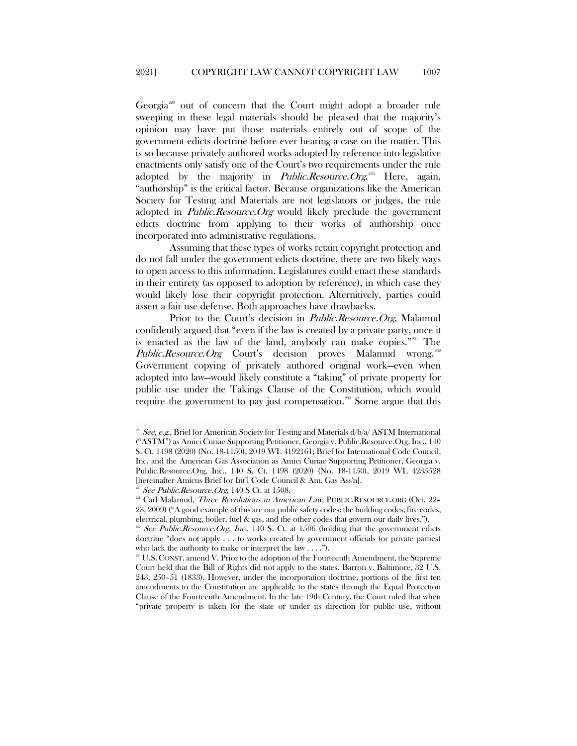Georgia[229](#page-31-0) out of concern that the Court might adopt a broader rule sweeping in these legal materials should be pleased that the majority's opinion may have put those materials entirely out of scope of the government edicts doctrine before ever hearing a case on the matter. This is so because privately authored works adopted by reference into legislative enactments only satisfy one of the Court's two requirements under the rule adopted by the majority in *Public.Resource.Org*.<sup>[230](#page-31-1)</sup> Here, again, "authorship" is the critical factor. Because organizations like the American Society for Testing and Materials are not legislators or judges, the rule adopted in *Public.Resource.Org* would likely preclude the government edicts doctrine from applying to their works of authorship once incorporated into administrative regulations.

Assuming that these types of works retain copyright protection and do not fall under the government edicts doctrine, there are two likely ways to open access to this information. Legislatures could enact these standards in their entirety (as opposed to adoption by reference), in which case they would likely lose their copyright protection. Alternitively, parties could assert a fair use defense. Both approaches have drawbacks.

Prior to the Court's decision in *Public.Resource.Org*, Malamud confidently argued that "even if the law is created by a private party, once it is enacted as the law of the land, anybody can make copies."<sup>[231](#page-31-2)</sup> The Public.Resource.Org Court's decision proves Malamud wrong.<sup>[232](#page-31-3)</sup> Government copying of privately authored original work—even when adopted into law—would likely constitute a "taking" of private property for public use under the Takings Clause of the Constitution, which would require the government to pay just compensation.<sup>[233](#page-31-4)</sup> Some argue that this

<span id="page-31-0"></span>See, e.g., Brief for American Society for Testing and Materials  $d/b/a/ASTM$  International ("ASTM") as Amici Curiae Supporting Petitioner, Georgia v. Public.Resource.Org, Inc., 140 S. Ct. 1498 (2020) (No. 18-1150), 2019 WL 4192161; Brief for International Code Council, Inc. and the American Gas Association as Amici Curiae Supporting Petitioner, Georgia v. Public.Resource.Org, Inc., 140 S. Ct. 1498 (2020) (No. 18-1150), 2019 WL 4235528 [hereinafter Amicus Brief for Int'l Code Council & Am. Gas Ass'n].

<span id="page-31-2"></span><span id="page-31-1"></span><sup>&</sup>lt;sup>230</sup> See Public.Resource.Org, 140 S Ct. at 1508.<br><sup>231</sup> Carl Malamud, *Three Revolutions in American Law*, PUBLIC.RESOURCE.ORG (Oct. 22– 23, 2009) ("A good example of this are our public safety codes: the building codes, fire codes, electrical, plumbing, boiler, fuel & gas, and the other codes that govern our daily lives.").

<span id="page-31-3"></span><sup>&</sup>lt;sup>232</sup> See Public.Resource.Org, Inc., 140 S. Ct. at  $1506$  (holding that the government edicts doctrine "does not apply . . . to works created by government officials (or private parties) who lack the authority to make or interpret the law . . . .").

<span id="page-31-4"></span> $233$  U.S. CONST. amend V. Prior to the adoption of the Fourteenth Amendment, the Supreme Court held that the Bill of Rights did not apply to the states. Barron v. Baltimore, 32 U.S. 243, 250–51 (1833). However, under the incorporation doctrine, portions of the first ten amendments to the Constitution are applicable to the states through the Equal Protection Clause of the Fourteenth Amendment. In the late 19th Century, the Court ruled that when "private property is taken for the state or under its direction for public use, without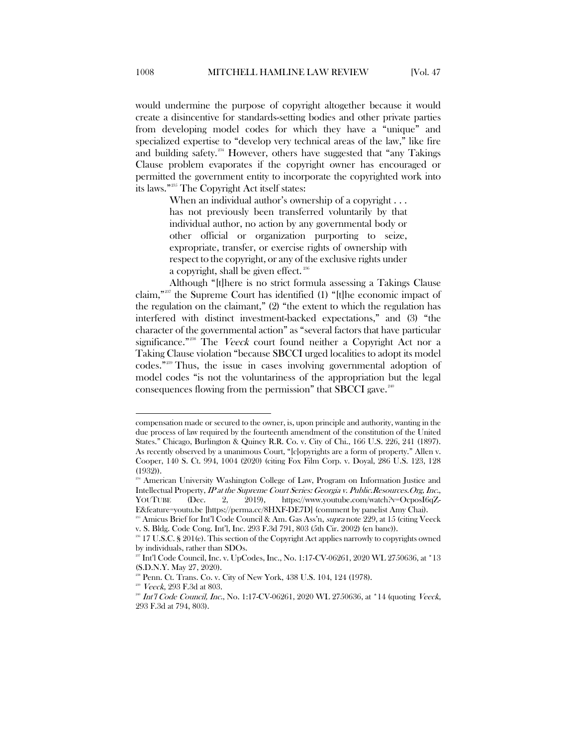would undermine the purpose of copyright altogether because it would create a disincentive for standards-setting bodies and other private parties from developing model codes for which they have a "unique" and specialized expertise to "develop very technical areas of the law," like fire and building safety.<sup>[234](#page-32-0)</sup> However, others have suggested that "any Takings" Clause problem evaporates if the copyright owner has encouraged or permitted the government entity to incorporate the copyrighted work into its laws."[235](#page-32-1) The Copyright Act itself states:

> When an individual author's ownership of a copyright . . . has not previously been transferred voluntarily by that individual author, no action by any governmental body or other official or organization purporting to seize, expropriate, transfer, or exercise rights of ownership with respect to the copyright, or any of the exclusive rights under a copyright, shall be given effect.<sup>[236](#page-32-2)</sup>

Although "[t]here is no strict formula assessing a Takings Clause claim,"[237](#page-32-3) the Supreme Court has identified (1) "[t]he economic impact of the regulation on the claimant," (2) "the extent to which the regulation has interfered with distinct investment-backed expectations," and (3) "the character of the governmental action" as "several factors that have particular significance."<sup>[238](#page-32-4)</sup> The *Veeck* court found neither a Copyright Act nor a Taking Clause violation "because SBCCI urged localities to adopt its model codes.["239](#page-32-5) Thus, the issue in cases involving governmental adoption of model codes "is not the voluntariness of the appropriation but the legal consequences flowing from the permission" that SBCCI gave. $240$ 

 $\overline{a}$ 

compensation made or secured to the owner, is, upon principle and authority, wanting in the due process of law required by the fourteenth amendment of the constitution of the United States." Chicago, Burlington & Quincy R.R. Co. v. City of Chi., 166 U.S. 226, 241 (1897). As recently observed by a unanimous Court, "[c]opyrights are a form of property." Allen v. Cooper, 140 S. Ct. 994, 1004 (2020) (citing Fox Film Corp. v. Doyal, 286 U.S. 123, 128 (1932)).

<span id="page-32-0"></span><sup>&</sup>lt;sup>234</sup> American University Washington College of Law, Program on Information Justice and Intellectual Property, IP at the Supreme Court Series: Georgia v. Public.Resources.Org, Inc., YOUTUBE (Dec. 2, 2019), https://www.youtube.com/watch?v=OcposI6qZ-E&feature=youtu.be [https://perma.cc/8HXF-DE7D] (comment by panelist Amy Chai).

<span id="page-32-1"></span><sup>&</sup>lt;sup>235</sup> Amicus Brief for Int'l Code Council & Am. Gas Ass'n, *supra* note 229, at 15 (citing Veeck v. S. Bldg. Code Cong. Int'l, Inc. 293 F.3d 791, 803 (5th Cir. 2002) (en banc)).

<span id="page-32-3"></span><span id="page-32-2"></span><sup>236 17</sup> U.S.C. § 201(e). This section of the Copyright Act applies narrowly to copyrights owned by individuals, rather than SDOs.

<sup>237</sup> Int'l Code Council, Inc. v. UpCodes, Inc., No. 1:17-CV-06261, 2020 WL 2750636, at \*13 (S.D.N.Y. May 27, 2020).

 $^8$  Penn. Ct. Trans. Co. v. City of New York,  $438$  U.S.  $104$ ,  $124$  (1978).

<span id="page-32-5"></span><span id="page-32-4"></span><sup>239</sup> Veeck, 293 F.3d at 803.

<span id="page-32-6"></span><sup>&</sup>lt;sup>240</sup> Int'l Code Council, Inc., No. 1:17-CV-06261, 2020 WL 2750636, at \*14 (quoting Veeck, 293 F.3d at 794, 803).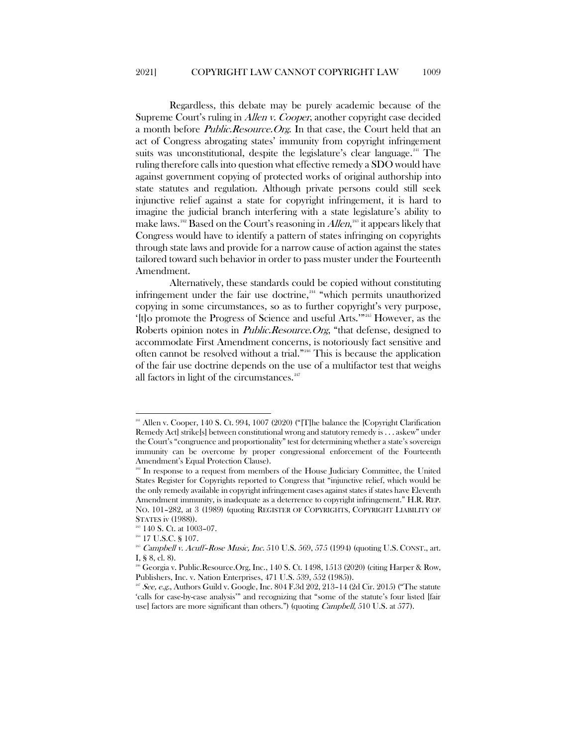Regardless, this debate may be purely academic because of the Supreme Court's ruling in *Allen v. Cooper*, another copyright case decided a month before *Public.Resource.Org*. In that case, the Court held that an act of Congress abrogating states' immunity from copyright infringement suits was unconstitutional, despite the legislature's clear language.<sup>[241](#page-33-0)</sup> The ruling therefore calls into question what effective remedy a SDO would have against government copying of protected works of original authorship into state statutes and regulation. Although private persons could still seek injunctive relief against a state for copyright infringement, it is hard to imagine the judicial branch interfering with a state legislature's ability to make laws. $^{^{242}}$  $^{^{242}}$  $^{^{242}}$  Based on the Court's reasoning in  $Allen, ^{^{243}}$  $Allen, ^{^{243}}$  $Allen, ^{^{243}}$  it appears likely that Congress would have to identify a pattern of states infringing on copyrights through state laws and provide for a narrow cause of action against the states tailored toward such behavior in order to pass muster under the Fourteenth Amendment.

Alternatively, these standards could be copied without constituting infringement under the fair use doctrine, $244$  "which permits unauthorized copying in some circumstances, so as to further copyright's very purpose, '[t]o promote the Progress of Science and useful Arts.'"[245](#page-33-4) However, as the Roberts opinion notes in *Public.Resource.Org*, "that defense, designed to accommodate First Amendment concerns, is notoriously fact sensitive and often cannot be resolved without a trial."[246](#page-33-5) This is because the application of the fair use doctrine depends on the use of a multifactor test that weighs all factors in light of the circumstances.<sup>[247](#page-33-6)</sup>

<span id="page-33-0"></span><sup>&</sup>lt;sup>241</sup> Allen v. Cooper, 140 S. Ct. 994, 1007 (2020) ("[T]he balance the [Copyright Clarification Remedy Act] strike[s] between constitutional wrong and statutory remedy is . . . askew" under the Court's "congruence and proportionality" test for determining whether a state's sovereign immunity can be overcome by proper congressional enforcement of the Fourteenth Amendment's Equal Protection Clause).<br><sup>242</sup> In response to a request from members of the House Judiciary Committee, the United

<span id="page-33-1"></span>States Register for Copyrights reported to Congress that "injunctive relief, which would be the only remedy available in copyright infringement cases against states if states have Eleventh Amendment immunity, is inadequate as a deterrence to copyright infringement." H.R. REP. NO. 101–282, at 3 (1989) (quoting REGISTER OF COPYRIGHTS, COPYRIGHT LIABILITY OF STATES iv (1988)).

<sup>&</sup>lt;sup>243</sup> 140 S. Ct. at 1003-07.

<span id="page-33-2"></span> $^{244}$  17 U.S.C. § 107.

<span id="page-33-4"></span><span id="page-33-3"></span><sup>&</sup>lt;sup>245</sup> Campbell v. Acuff-Rose Music, Inc. 510 U.S. 569, 575 (1994) (quoting U.S. CONST., art. I, § 8, cl. 8).

<span id="page-33-6"></span><span id="page-33-5"></span><sup>246</sup> Georgia v. Public.Resource.Org, Inc., 140 S. Ct. 1498, 1513 (2020) (citing Harper & Row, Publishers, Inc. v. Nation Enterprises, 471 U.S. 539, 552 (1985)).

 $25$  See, e.g., Authors Guild v. Google, Inc. 804 F.3d 202, 213-14 (2d Cir. 2015) ("The statute 'calls for case-by-case analysis'" and recognizing that "some of the statute's four listed [fair use] factors are more significant than others.") (quoting Campbell, 510 U.S. at 577).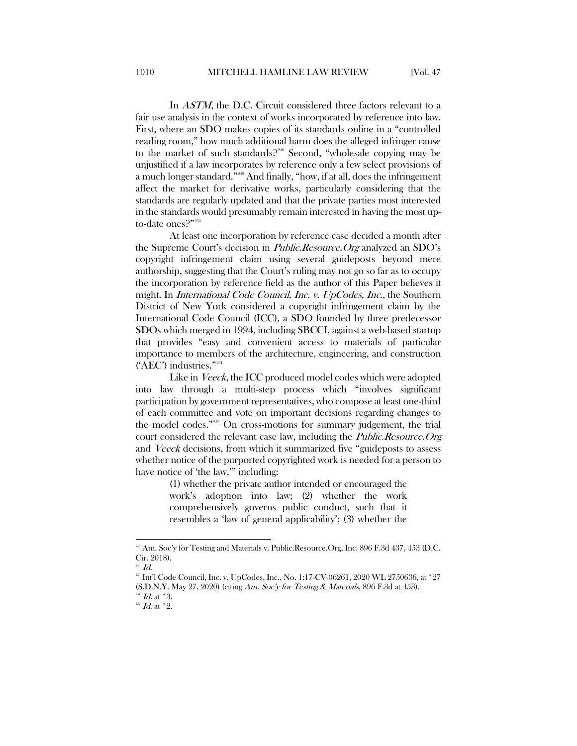In *ASTM*, the D.C. Circuit considered three factors relevant to a fair use analysis in the context of works incorporated by reference into law. First, where an SDO makes copies of its standards online in a "controlled reading room," how much additional harm does the alleged infringer cause to the market of such standards?<sup>[248](#page-34-0)</sup> Second, "wholesale copying may be unjustified if a law incorporates by reference only a few select provisions of a much longer standard.["249](#page-34-1) And finally, "how, if at all, does the infringement affect the market for derivative works, particularly considering that the standards are regularly updated and that the private parties most interested in the standards would presumably remain interested in having the most up-to-date ones?"[250](#page-34-2)

At least one incorporation by reference case decided a month after the Supreme Court's decision in Public.Resource.Org analyzed an SDO's copyright infringement claim using several guideposts beyond mere authorship, suggesting that the Court's ruling may not go so far as to occupy the incorporation by reference field as the author of this Paper believes it might. In *International Code Council, Inc. v. UpCodes, Inc.*, the Southern District of New York considered a copyright infringement claim by the International Code Council (ICC), a SDO founded by three predecessor SDOs which merged in 1994, including SBCCI, against a web-based startup that provides "easy and convenient access to materials of particular importance to members of the architecture, engineering, and construction ('AEC') industries."<sup>[251](#page-34-3)</sup>

Like in *Veeck*, the ICC produced model codes which were adopted into law through a multi-step process which "involves significant participation by government representatives, who compose at least one-third of each committee and vote on important decisions regarding changes to the model codes."[252](#page-34-4) On cross-motions for summary judgement, the trial court considered the relevant case law, including the *Public.Resource.Org* and Veeck decisions, from which it summarized five "guideposts to assess whether notice of the purported copyrighted work is needed for a person to have notice of 'the law,'" including:

> (1) whether the private author intended or encouraged the work's adoption into law; (2) whether the work comprehensively governs public conduct, such that it resembles a 'law of general applicability'; (3) whether the

<span id="page-34-0"></span><sup>&</sup>lt;sup>218</sup> Am. Soc'y for Testing and Materials v. Public.Resource.Org, Inc. 896 F.3d 437, 453 (D.C. Cir. 2018).

<span id="page-34-1"></span> $^{249}$  Id.

<span id="page-34-2"></span> $^{250}$  Int'l Code Council, Inc. v. UpCodes, Inc., No. 1:17-CV-06261, 2020 WL 2750636, at \*27

<sup>(</sup>S.D.N.Y. May 27, 2020) (citing Am. Soc'y for Testing & Materials, 896 F.3d at 453).

<span id="page-34-3"></span> $^{251}$  *Id.* at  $^*3$ .

<span id="page-34-4"></span> $^{252}$  *Id.* at  $^*$  2.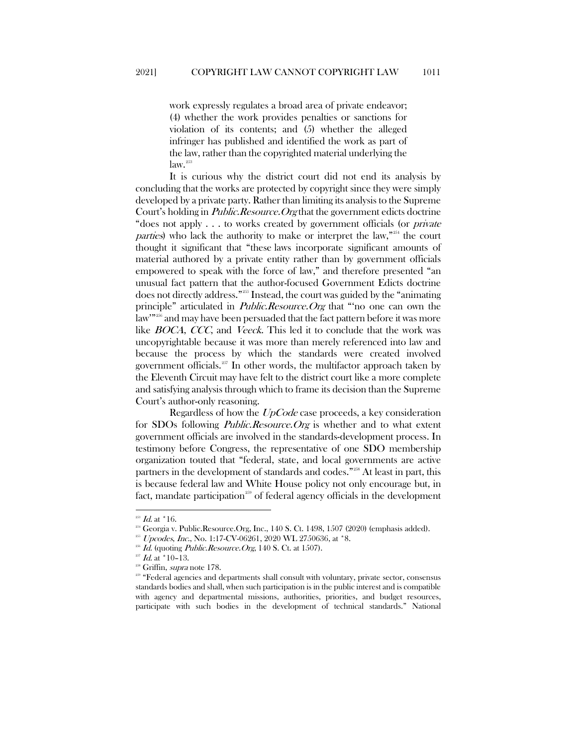work expressly regulates a broad area of private endeavor; (4) whether the work provides penalties or sanctions for violation of its contents; and (5) whether the alleged infringer has published and identified the work as part of the law, rather than the copyrighted material underlying the law.<sup>[253](#page-35-0)</sup>

It is curious why the district court did not end its analysis by concluding that the works are protected by copyright since they were simply developed by a private party. Rather than limiting its analysis to the Supreme Court's holding in *Public.Resource.Org* that the government edicts doctrine "does not apply . . . to works created by government officials (or private parties) who lack the authority to make or interpret the law,"[254](#page-35-1) the court thought it significant that "these laws incorporate significant amounts of material authored by a private entity rather than by government officials empowered to speak with the force of law," and therefore presented "an unusual fact pattern that the author-focused Government Edicts doctrine does not directly address."[255](#page-35-2) Instead, the court was guided by the "animating principle" articulated in *Public.Resource.Org* that "no one can own the law"<sup>3[256](#page-35-3)</sup> and may have been persuaded that the fact pattern before it was more like *BOCA*, *CCC*, and *Veeck*. This led it to conclude that the work was uncopyrightable because it was more than merely referenced into law and because the process by which the standards were created involved government officials.<sup>[257](#page-35-4)</sup> In other words, the multifactor approach taken by the Eleventh Circuit may have felt to the district court like a more complete and satisfying analysis through which to frame its decision than the Supreme Court's author-only reasoning.

Regardless of how the UpCode case proceeds, a key consideration for SDOs following *Public.Resource.Org* is whether and to what extent government officials are involved in the standards-development process. In testimony before Congress, the representative of one SDO membership organization touted that "federal, state, and local governments are active partners in the development of standards and codes."<sup>[258](#page-35-5)</sup> At least in part, this is because federal law and White House policy not only encourage but, in fact, mandate participation<sup>[259](#page-35-6)</sup> of federal agency officials in the development

 $^{253}$   $\emph{Id.}$  at \*16.

<span id="page-35-2"></span><span id="page-35-1"></span><span id="page-35-0"></span><sup>&</sup>lt;sup>254</sup> Georgia v. Public.Resource.Org, Inc., 140 S. Ct. 1498, 1507 (2020) (emphasis added).

 $^{255}$  Upcodes, Inc., No. 1:17-CV-06261, 2020 WL 2750636, at  $*8$ .

<span id="page-35-3"></span> $^{256}$  *Id.* (quoting *Public.Resource.Org*, 140 S. Ct. at 1507).

<span id="page-35-5"></span><span id="page-35-4"></span> $Id.$  at  $*10-13.$ 

<sup>&</sup>lt;sup>258</sup> Griffin, *supra* note 178.

<span id="page-35-6"></span> $259$  "Federal agencies and departments shall consult with voluntary, private sector, consensus standards bodies and shall, when such participation is in the public interest and is compatible with agency and departmental missions, authorities, priorities, and budget resources, participate with such bodies in the development of technical standards." National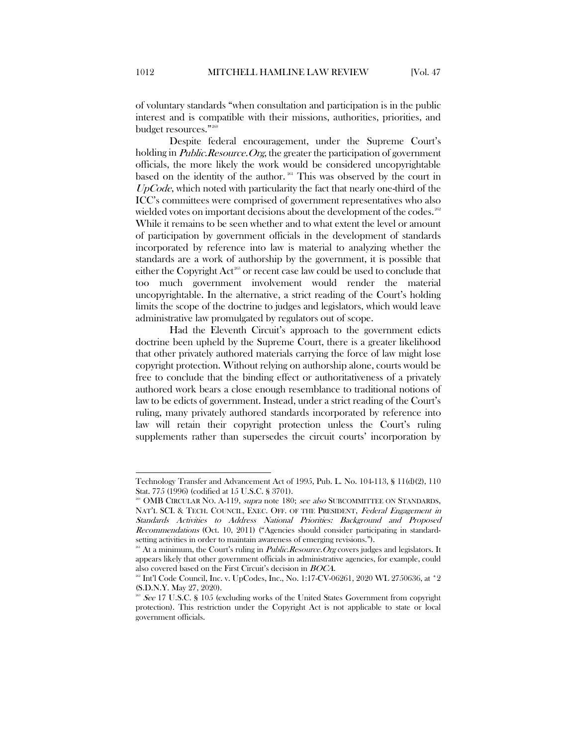of voluntary standards "when consultation and participation is in the public interest and is compatible with their missions, authorities, priorities, and budget resources."<sup>[260](#page-36-0)</sup>

Despite federal encouragement, under the Supreme Court's holding in *Public.Resource.Org*, the greater the participation of government officials, the more likely the work would be considered uncopyrightable based on the identity of the author. <sup>[261](#page-36-1)</sup> This was observed by the court in  $UpCode$ , which noted with particularity the fact that nearly one-third of the ICC's committees were comprised of government representatives who also wielded votes on important decisions about the development of the codes.<sup>[262](#page-36-2)</sup> While it remains to be seen whether and to what extent the level or amount of participation by government officials in the development of standards incorporated by reference into law is material to analyzing whether the standards are a work of authorship by the government, it is possible that either the Copyright Act<sup>[263](#page-36-3)</sup> or recent case law could be used to conclude that too much government involvement would render the material uncopyrightable. In the alternative, a strict reading of the Court's holding limits the scope of the doctrine to judges and legislators, which would leave administrative law promulgated by regulators out of scope.

Had the Eleventh Circuit's approach to the government edicts doctrine been upheld by the Supreme Court, there is a greater likelihood that other privately authored materials carrying the force of law might lose copyright protection. Without relying on authorship alone, courts would be free to conclude that the binding effect or authoritativeness of a privately authored work bears a close enough resemblance to traditional notions of law to be edicts of government. Instead, under a strict reading of the Court's ruling, many privately authored standards incorporated by reference into law will retain their copyright protection unless the Court's ruling supplements rather than supersedes the circuit courts' incorporation by

 $\overline{\phantom{a}}$ 

Technology Transfer and Advancement Act of 1995, Pub. L. No. 104-113, § 11(d)(2), 110 Stat. 775 (1996) (codified at 15 U.S.C. § 3701).

<span id="page-36-0"></span><sup>&</sup>lt;sup>260</sup> OMB CIRCULAR NO. A-119, *supra* note 180; *see also* SUBCOMMITTEE ON STANDARDS, NAT'L SCI. & TECH. COUNCIL, EXEC. OFF. OF THE PRESIDENT, Federal Engagement in Standards Activities to Address National Priorities: Background and Proposed Recommendations (Oct. 10, 2011) ("Agencies should consider participating in standardsetting activities in order to maintain awareness of emerging revisions.").

<span id="page-36-1"></span><sup>&</sup>lt;sup>261</sup> At a minimum, the Court's ruling in *Public.Resource.Org* covers judges and legislators. It appears likely that other government officials in administrative agencies, for example, could also covered based on the First Circuit's decision in BOCA.

<span id="page-36-2"></span><sup>&</sup>lt;sup>262</sup> Int'l Code Council, Inc. v. UpCodes, Inc., No. 1:17-CV-06261, 2020 WL 2750636, at \*2 (S.D.N.Y. May 27, 2020).

<span id="page-36-3"></span><sup>&</sup>lt;sup>263</sup> See 17 U.S.C. § 105 (excluding works of the United States Government from copyright protection). This restriction under the Copyright Act is not applicable to state or local government officials.